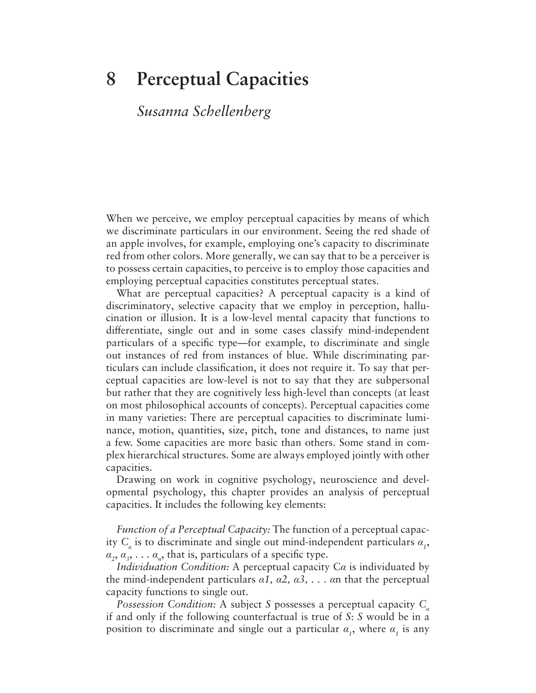# **8 Perceptual Capacities**

## *Susanna Schellenberg*

When we perceive, we employ perceptual capacities by means of which we discriminate particulars in our environment. Seeing the red shade of an apple involves, for example, employing one's capacity to discriminate red from other colors. More generally, we can say that to be a perceiver is to possess certain capacities, to perceive is to employ those capacities and employing perceptual capacities constitutes perceptual states.

What are perceptual capacities? A perceptual capacity is a kind of discriminatory, selective capacity that we employ in perception, hallucination or illusion. It is a low-level mental capacity that functions to differentiate, single out and in some cases classify mind-independent particulars of a specific type—for example, to discriminate and single out instances of red from instances of blue. While discriminating particulars can include classification, it does not require it. To say that perceptual capacities are low-level is not to say that they are subpersonal but rather that they are cognitively less high-level than concepts (at least on most philosophical accounts of concepts). Perceptual capacities come in many varieties: There are perceptual capacities to discriminate luminance, motion, quantities, size, pitch, tone and distances, to name just a few. Some capacities are more basic than others. Some stand in complex hierarchical structures. Some are always employed jointly with other capacities.

Drawing on work in cognitive psychology, neuroscience and developmental psychology, this chapter provides an analysis of perceptual capacities. It includes the following key elements:

*Function of a Perceptual Capacity:* The function of a perceptual capacity  $C_a$  is to discriminate and single out mind-independent particulars  $\alpha_i$ ,  $\alpha_2, \alpha_3, \ldots, \alpha_n$ , that is, particulars of a specific type.

*Individuation Condition:* A perceptual capacity Ca is individuated by the mind-independent particulars  $a_1$ ,  $a_2$ ,  $a_3$ ,  $\ldots$  *an* that the perceptual capacity functions to single out.

*Possession Condition:* A subject *S* possesses a perceptual capacity  $C_{q}$ if and only if the following counterfactual is true of *S*: *S* would be in a position to discriminate and single out a particular  $\alpha_1$ , where  $\alpha_1$  is any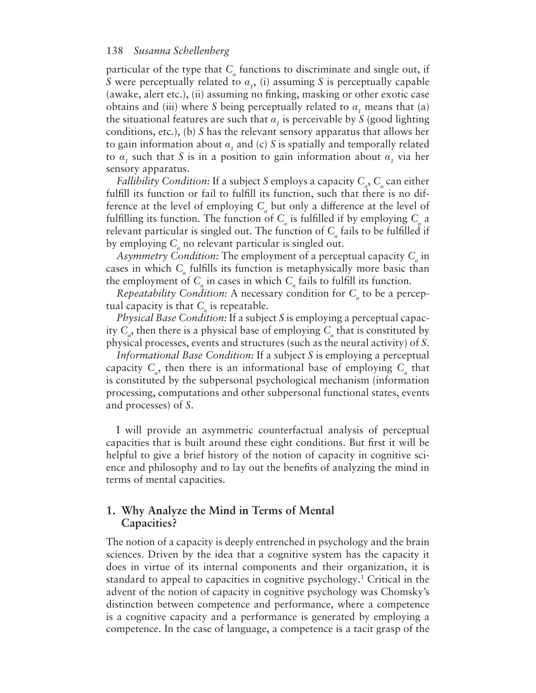particular of the type that  $C_a$  functions to discriminate and single out, if *S* were perceptually related to  $a<sub>1</sub>$ , (i) assuming *S* is perceptually capable (awake, alert etc.), (ii) assuming no finking, masking or other exotic case obtains and (iii) where *S* being perceptually related to  $\alpha_1$  means that (a) the situational features are such that  $a_i$  is perceivable by *S* (good lighting conditions, etc.), (b) *S* has the relevant sensory apparatus that allows her to gain information about  $\alpha_1$  and (c) *S* is spatially and temporally related to  $\alpha_1$  such that *S* is in a position to gain information about  $\alpha_1$  via her sensory apparatus.

*Fallibility Condition:* If a subject *S* employs a capacity  $C_a$ ,  $C_a$  can either fulfill its function or fail to fulfill its function, such that there is no difference at the level of employing  $C_a$  but only a difference at the level of fulfilling its function. The function of  $C_{\alpha}$  is fulfilled if by employing  $C_{\alpha}$  a relevant particular is singled out. The function of *C<sup>Į</sup>* fails to be fulfilled if by employing  $C_a$  no relevant particular is singled out.

*Asymmetry Condition:* The employment of a perceptual capacity  $C_{\alpha}$  in cases in which *C*<sub>*a*</sub> fulfills its function is metaphysically more basic than the employment of  $C_a$  in cases in which  $C_a$  fails to fulfill its function.

*Repeatability Condition:* A necessary condition for  $C_{\alpha}$  to be a perceptual capacity is that  $C_{\alpha}$  is repeatable.

*Physical Base Condition:* If a subject *S* is employing a perceptual capacity *C<sup>Į</sup>* , then there is a physical base of employing *C<sup>Į</sup>* that is constituted by physical processes, events and structures (such as the neural activity) of *S*.

*Informational Base Condition:* If a subject *S* is employing a perceptual capacity  $C_a$ , then there is an informational base of employing  $C_a$  that is constituted by the subpersonal psychological mechanism (information processing, computations and other subpersonal functional states, events and processes) of *S*.

I will provide an asymmetric counterfactual analysis of perceptual capacities that is built around these eight conditions. But first it will be helpful to give a brief history of the notion of capacity in cognitive science and philosophy and to lay out the benefits of analyzing the mind in terms of mental capacities.

## **1. Why Analyze the Mind in Terms of Mental Capacities?**

The notion of a capacity is deeply entrenched in psychology and the brain sciences. Driven by the idea that a cognitive system has the capacity it does in virtue of its internal components and their organization, it is standard to appeal to capacities in cognitive psychology.<sup>1</sup> Critical in the advent of the notion of capacity in cognitive psychology was Chomsky's distinction between competence and performance, where a competence is a cognitive capacity and a performance is generated by employing a competence. In the case of language, a competence is a tacit grasp of the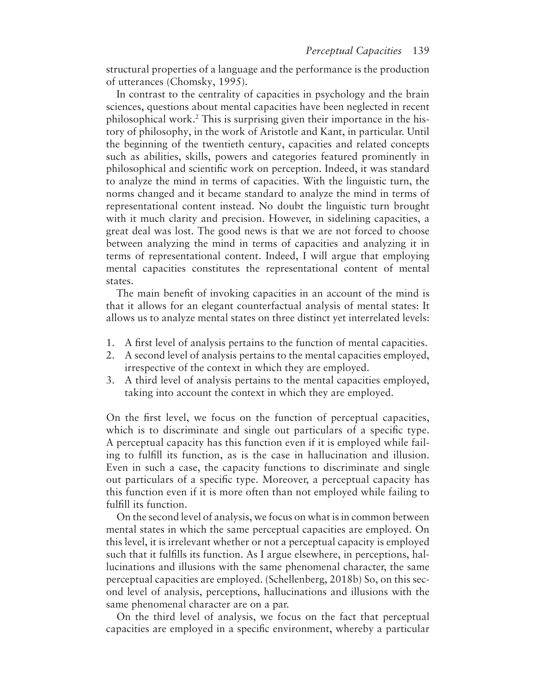structural properties of a language and the performance is the production of utterances (Chomsky, 1995).

In contrast to the centrality of capacities in psychology and the brain sciences, questions about mental capacities have been neglected in recent philosophical work.<sup>2</sup> This is surprising given their importance in the history of philosophy, in the work of Aristotle and Kant, in particular. Until the beginning of the twentieth century, capacities and related concepts such as abilities, skills, powers and categories featured prominently in philosophical and scientific work on perception. Indeed, it was standard to analyze the mind in terms of capacities. With the linguistic turn, the norms changed and it became standard to analyze the mind in terms of representational content instead. No doubt the linguistic turn brought with it much clarity and precision. However, in sidelining capacities, a great deal was lost. The good news is that we are not forced to choose between analyzing the mind in terms of capacities and analyzing it in terms of representational content. Indeed, I will argue that employing mental capacities constitutes the representational content of mental states.

The main benefit of invoking capacities in an account of the mind is that it allows for an elegant counterfactual analysis of mental states: It allows us to analyze mental states on three distinct yet interrelated levels:

- 1. A first level of analysis pertains to the function of mental capacities.
- 2. A second level of analysis pertains to the mental capacities employed, irrespective of the context in which they are employed.
- 3. A third level of analysis pertains to the mental capacities employed, taking into account the context in which they are employed.

On the first level, we focus on the function of perceptual capacities, which is to discriminate and single out particulars of a specific type. A perceptual capacity has this function even if it is employed while failing to fulfill its function, as is the case in hallucination and illusion. Even in such a case, the capacity functions to discriminate and single out particulars of a specific type. Moreover, a perceptual capacity has this function even if it is more often than not employed while failing to fulfill its function.

On the second level of analysis, we focus on what is in common between mental states in which the same perceptual capacities are employed. On this level, it is irrelevant whether or not a perceptual capacity is employed such that it fulfills its function. As I argue elsewhere, in perceptions, hallucinations and illusions with the same phenomenal character, the same perceptual capacities are employed. (Schellenberg, 2018b) So, on this second level of analysis, perceptions, hallucinations and illusions with the same phenomenal character are on a par.

On the third level of analysis, we focus on the fact that perceptual capacities are employed in a specific environment, whereby a particular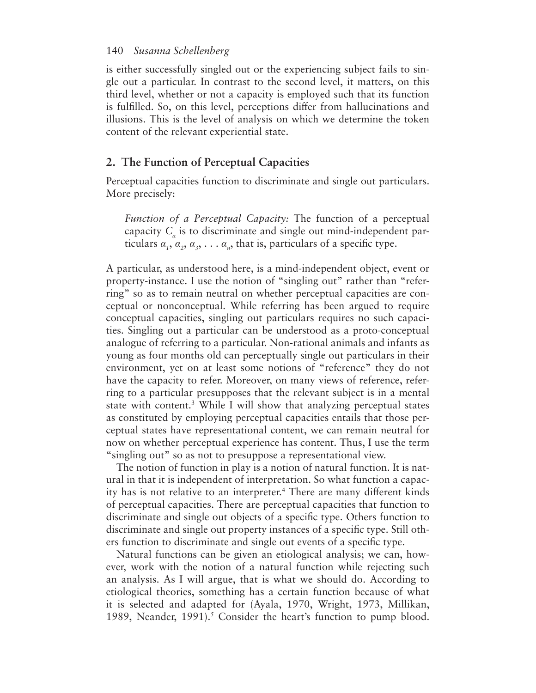is either successfully singled out or the experiencing subject fails to single out a particular. In contrast to the second level, it matters, on this third level, whether or not a capacity is employed such that its function is fulfilled. So, on this level, perceptions differ from hallucinations and illusions. This is the level of analysis on which we determine the token content of the relevant experiential state.

## **2. The Function of Perceptual Capacities**

Perceptual capacities function to discriminate and single out particulars. More precisely:

*Function of a Perceptual Capacity:* The function of a perceptual capacity *C<sup>Į</sup>* is to discriminate and single out mind-independent particulars  $a_1, a_2, a_3, \ldots, a_n$ , that is, particulars of a specific type.

A particular, as understood here, is a mind-independent object, event or property-instance. I use the notion of "singling out" rather than "referring" so as to remain neutral on whether perceptual capacities are conceptual or nonconceptual. While referring has been argued to require conceptual capacities, singling out particulars requires no such capacities. Singling out a particular can be understood as a proto-conceptual analogue of referring to a particular. Non-rational animals and infants as young as four months old can perceptually single out particulars in their environment, yet on at least some notions of "reference" they do not have the capacity to refer. Moreover, on many views of reference, referring to a particular presupposes that the relevant subject is in a mental state with content.<sup>3</sup> While I will show that analyzing perceptual states as constituted by employing perceptual capacities entails that those perceptual states have representational content, we can remain neutral for now on whether perceptual experience has content. Thus, I use the term "singling out" so as not to presuppose a representational view.

The notion of function in play is a notion of natural function. It is natural in that it is independent of interpretation. So what function a capacity has is not relative to an interpreter.<sup>4</sup> There are many different kinds of perceptual capacities. There are perceptual capacities that function to discriminate and single out objects of a specific type. Others function to discriminate and single out property instances of a specific type. Still others function to discriminate and single out events of a specific type.

Natural functions can be given an etiological analysis; we can, however, work with the notion of a natural function while rejecting such an analysis. As I will argue, that is what we should do. According to etiological theories, something has a certain function because of what it is selected and adapted for (Ayala, 1970, Wright, 1973, Millikan, 1989, Neander,  $1991$ ).<sup>5</sup> Consider the heart's function to pump blood.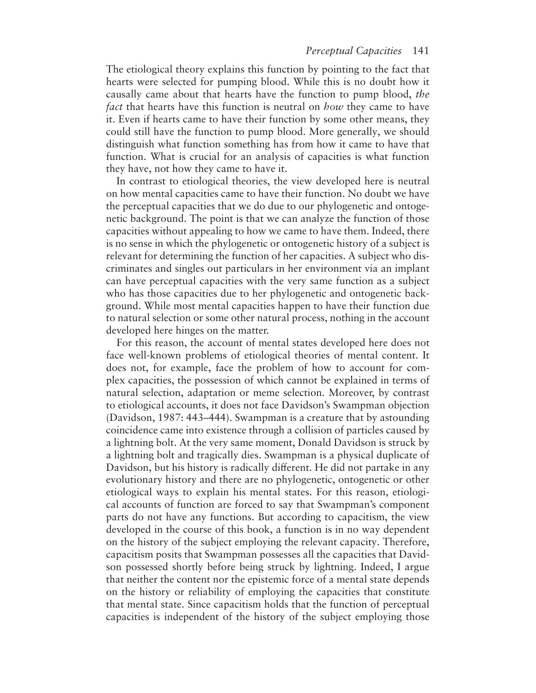The etiological theory explains this function by pointing to the fact that hearts were selected for pumping blood. While this is no doubt how it causally came about that hearts have the function to pump blood, *the fact* that hearts have this function is neutral on *how* they came to have it. Even if hearts came to have their function by some other means, they could still have the function to pump blood. More generally, we should distinguish what function something has from how it came to have that function. What is crucial for an analysis of capacities is what function they have, not how they came to have it.

In contrast to etiological theories, the view developed here is neutral on how mental capacities came to have their function. No doubt we have the perceptual capacities that we do due to our phylogenetic and ontogenetic background. The point is that we can analyze the function of those capacities without appealing to how we came to have them. Indeed, there is no sense in which the phylogenetic or ontogenetic history of a subject is relevant for determining the function of her capacities. A subject who discriminates and singles out particulars in her environment via an implant can have perceptual capacities with the very same function as a subject who has those capacities due to her phylogenetic and ontogenetic background. While most mental capacities happen to have their function due to natural selection or some other natural process, nothing in the account developed here hinges on the matter.

For this reason, the account of mental states developed here does not face well-known problems of etiological theories of mental content. It does not, for example, face the problem of how to account for complex capacities, the possession of which cannot be explained in terms of natural selection, adaptation or meme selection. Moreover, by contrast to etiological accounts, it does not face Davidson's Swampman objection (Davidson, 1987: 443–444). Swampman is a creature that by astounding coincidence came into existence through a collision of particles caused by a lightning bolt. At the very same moment, Donald Davidson is struck by a lightning bolt and tragically dies. Swampman is a physical duplicate of Davidson, but his history is radically different. He did not partake in any evolutionary history and there are no phylogenetic, ontogenetic or other etiological ways to explain his mental states. For this reason, etiological accounts of function are forced to say that Swampman's component parts do not have any functions. But according to capacitism, the view developed in the course of this book, a function is in no way dependent on the history of the subject employing the relevant capacity. Therefore, capacitism posits that Swampman possesses all the capacities that Davidson possessed shortly before being struck by lightning. Indeed, I argue that neither the content nor the epistemic force of a mental state depends on the history or reliability of employing the capacities that constitute that mental state. Since capacitism holds that the function of perceptual capacities is independent of the history of the subject employing those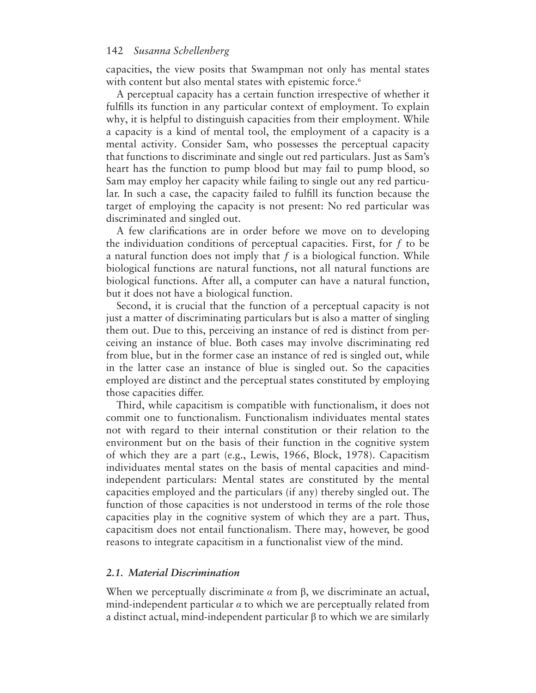capacities, the view posits that Swampman not only has mental states with content but also mental states with epistemic force.<sup>6</sup>

A perceptual capacity has a certain function irrespective of whether it fulfills its function in any particular context of employment. To explain why, it is helpful to distinguish capacities from their employment. While a capacity is a kind of mental tool, the employment of a capacity is a mental activity. Consider Sam, who possesses the perceptual capacity that functions to discriminate and single out red particulars. Just as Sam's heart has the function to pump blood but may fail to pump blood, so Sam may employ her capacity while failing to single out any red particular. In such a case, the capacity failed to fulfill its function because the target of employing the capacity is not present: No red particular was discriminated and singled out.

A few clarifications are in order before we move on to developing the individuation conditions of perceptual capacities. First, for  $f$  to be a natural function does not imply that  $f$  is a biological function. While biological functions are natural functions, not all natural functions are biological functions. After all, a computer can have a natural function, but it does not have a biological function.

Second, it is crucial that the function of a perceptual capacity is not just a matter of discriminating particulars but is also a matter of singling them out. Due to this, perceiving an instance of red is distinct from perceiving an instance of blue. Both cases may involve discriminating red from blue, but in the former case an instance of red is singled out, while in the latter case an instance of blue is singled out. So the capacities employed are distinct and the perceptual states constituted by employing those capacities differ.

Third, while capacitism is compatible with functionalism, it does not commit one to functionalism. Functionalism individuates mental states not with regard to their internal constitution or their relation to the environment but on the basis of their function in the cognitive system of which they are a part (e.g., Lewis, 1966, Block, 1978). Capacitism individuates mental states on the basis of mental capacities and mindindependent particulars: Mental states are constituted by the mental capacities employed and the particulars (if any) thereby singled out. The function of those capacities is not understood in terms of the role those capacities play in the cognitive system of which they are a part. Thus, capacitism does not entail functionalism. There may, however, be good reasons to integrate capacitism in a functionalist view of the mind.

#### *2.1. Material Discrimination*

When we perceptually discriminate  $\alpha$  from  $\beta$ , we discriminate an actual, mind-independent particular  $\alpha$  to which we are perceptually related from a distinct actual, mind-independent particular  $\beta$  to which we are similarly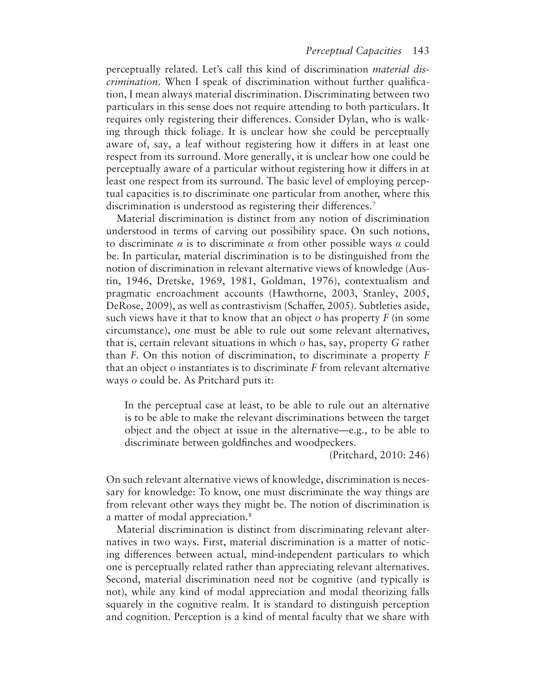perceptually related. Let's call this kind of discrimination *material discrimination*. When I speak of discrimination without further qualification, I mean always material discrimination. Discriminating between two particulars in this sense does not require attending to both particulars. It requires only registering their differences. Consider Dylan, who is walking through thick foliage. It is unclear how she could be perceptually aware of, say, a leaf without registering how it differs in at least one respect from its surround. More generally, it is unclear how one could be perceptually aware of a particular without registering how it differs in at least one respect from its surround. The basic level of employing perceptual capacities is to discriminate one particular from another, where this discrimination is understood as registering their differences.<sup>7</sup>

Material discrimination is distinct from any notion of discrimination understood in terms of carving out possibility space. On such notions, to discriminate  $\alpha$  is to discriminate  $\alpha$  from other possible ways  $\alpha$  could be. In particular, material discrimination is to be distinguished from the notion of discrimination in relevant alternative views of knowledge (Austin, 1946, Dretske, 1969, 1981, Goldman, 1976), contextualism and pragmatic encroachment accounts (Hawthorne, 2003, Stanley, 2005, DeRose, 2009), as well as contrastivism (Schaffer, 2005). Subtleties aside, such views have it that to know that an object *o* has property *F* (in some circumstance), one must be able to rule out some relevant alternatives, that is, certain relevant situations in which *o* has, say, property *G* rather than *F*. On this notion of discrimination, to discriminate a property *F* that an object *o* instantiates is to discriminate *F* from relevant alternative ways *o* could be. As Pritchard puts it:

In the perceptual case at least, to be able to rule out an alternative is to be able to make the relevant discriminations between the target object and the object at issue in the alternative—e.g., to be able to discriminate between goldfinches and woodpeckers.

(Pritchard, 2010: 246)

On such relevant alternative views of knowledge, discrimination is necessary for knowledge: To know, one must discriminate the way things are from relevant other ways they might be. The notion of discrimination is a matter of modal appreciation.8

Material discrimination is distinct from discriminating relevant alternatives in two ways. First, material discrimination is a matter of noticing differences between actual, mind-independent particulars to which one is perceptually related rather than appreciating relevant alternatives. Second, material discrimination need not be cognitive (and typically is not), while any kind of modal appreciation and modal theorizing falls squarely in the cognitive realm. It is standard to distinguish perception and cognition. Perception is a kind of mental faculty that we share with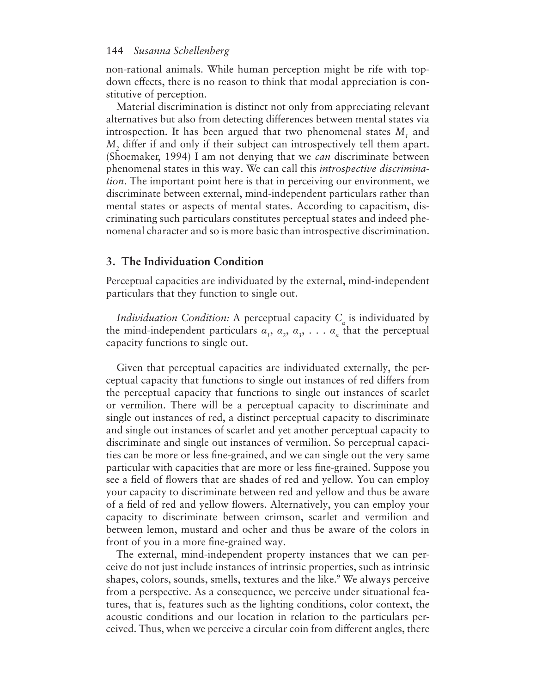non-rational animals. While human perception might be rife with topdown effects, there is no reason to think that modal appreciation is constitutive of perception.

Material discrimination is distinct not only from appreciating relevant alternatives but also from detecting differences between mental states via introspection. It has been argued that two phenomenal states  $M<sub>1</sub>$  and  $M<sub>2</sub>$  differ if and only if their subject can introspectively tell them apart. (Shoemaker, 1994) I am not denying that we *can* discriminate between phenomenal states in this way. We can call this *introspective discrimination*. The important point here is that in perceiving our environment, we discriminate between external, mind-independent particulars rather than mental states or aspects of mental states. According to capacitism, discriminating such particulars constitutes perceptual states and indeed phenomenal character and so is more basic than introspective discrimination.

## **3. The Individuation Condition**

Perceptual capacities are individuated by the external, mind-independent particulars that they function to single out.

*Individuation Condition:* A perceptual capacity  $C_a$  is individuated by the mind-independent particulars  $\alpha_1$ ,  $\alpha_2$ ,  $\alpha_3$ , . . .  $\alpha_n$  that the perceptual capacity functions to single out.

Given that perceptual capacities are individuated externally, the perceptual capacity that functions to single out instances of red differs from the perceptual capacity that functions to single out instances of scarlet or vermilion. There will be a perceptual capacity to discriminate and single out instances of red, a distinct perceptual capacity to discriminate and single out instances of scarlet and yet another perceptual capacity to discriminate and single out instances of vermilion. So perceptual capacities can be more or less fine-grained, and we can single out the very same particular with capacities that are more or less fine-grained. Suppose you see a field of flowers that are shades of red and yellow. You can employ your capacity to discriminate between red and yellow and thus be aware of a field of red and yellow flowers. Alternatively, you can employ your capacity to discriminate between crimson, scarlet and vermilion and between lemon, mustard and ocher and thus be aware of the colors in front of you in a more fine-grained way.

The external, mind-independent property instances that we can perceive do not just include instances of intrinsic properties, such as intrinsic shapes, colors, sounds, smells, textures and the like.<sup>9</sup> We always perceive from a perspective. As a consequence, we perceive under situational features, that is, features such as the lighting conditions, color context, the acoustic conditions and our location in relation to the particulars perceived. Thus, when we perceive a circular coin from different angles, there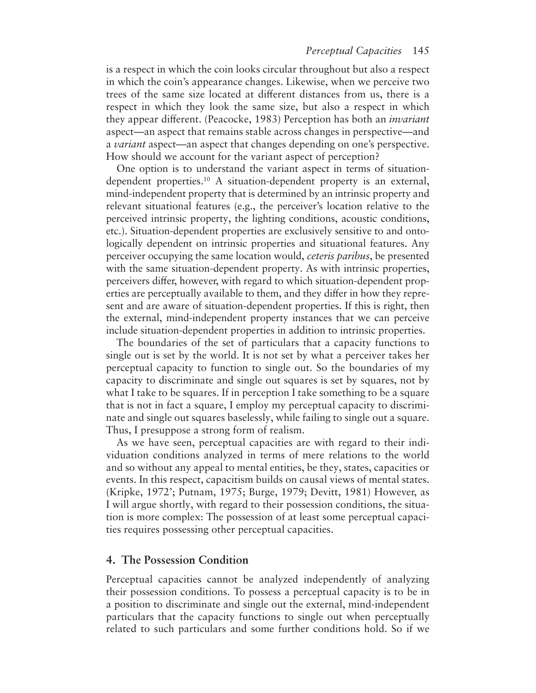is a respect in which the coin looks circular throughout but also a respect in which the coin's appearance changes. Likewise, when we perceive two trees of the same size located at different distances from us, there is a respect in which they look the same size, but also a respect in which they appear different. (Peacocke, 1983) Perception has both an *invariant* aspect—an aspect that remains stable across changes in perspective—and a *variant* aspect—an aspect that changes depending on one's perspective. How should we account for the variant aspect of perception?

One option is to understand the variant aspect in terms of situationdependent properties.10 A situation-dependent property is an external, mind-independent property that is determined by an intrinsic property and relevant situational features (e.g., the perceiver's location relative to the perceived intrinsic property, the lighting conditions, acoustic conditions, etc.). Situation-dependent properties are exclusively sensitive to and ontologically dependent on intrinsic properties and situational features. Any perceiver occupying the same location would, *ceteris paribus*, be presented with the same situation-dependent property. As with intrinsic properties, perceivers differ, however, with regard to which situation-dependent properties are perceptually available to them, and they differ in how they represent and are aware of situation-dependent properties. If this is right, then the external, mind-independent property instances that we can perceive include situation-dependent properties in addition to intrinsic properties.

The boundaries of the set of particulars that a capacity functions to single out is set by the world. It is not set by what a perceiver takes her perceptual capacity to function to single out. So the boundaries of my capacity to discriminate and single out squares is set by squares, not by what I take to be squares. If in perception I take something to be a square that is not in fact a square, I employ my perceptual capacity to discriminate and single out squares baselessly, while failing to single out a square. Thus, I presuppose a strong form of realism.

As we have seen, perceptual capacities are with regard to their individuation conditions analyzed in terms of mere relations to the world and so without any appeal to mental entities, be they, states, capacities or events. In this respect, capacitism builds on causal views of mental states. (Kripke, 1972'; Putnam, 1975; Burge, 1979; Devitt, 1981) However, as I will argue shortly, with regard to their possession conditions, the situation is more complex: The possession of at least some perceptual capacities requires possessing other perceptual capacities.

## **4. The Possession Condition**

Perceptual capacities cannot be analyzed independently of analyzing their possession conditions. To possess a perceptual capacity is to be in a position to discriminate and single out the external, mind-independent particulars that the capacity functions to single out when perceptually related to such particulars and some further conditions hold. So if we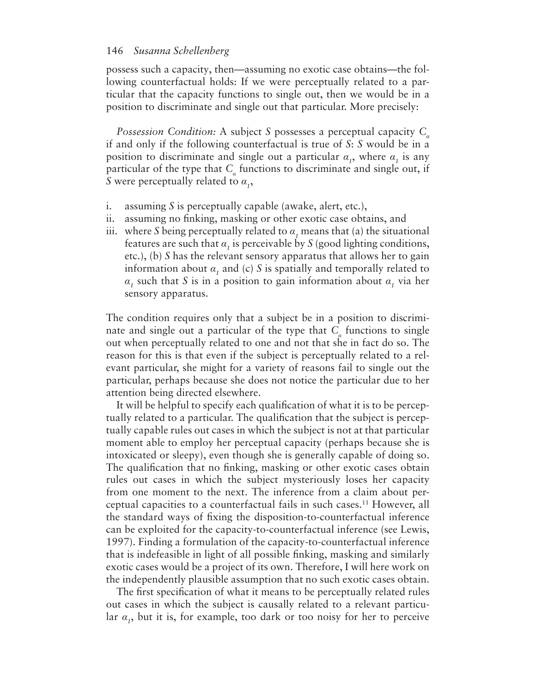possess such a capacity, then—assuming no exotic case obtains—the following counterfactual holds: If we were perceptually related to a particular that the capacity functions to single out, then we would be in a position to discriminate and single out that particular. More precisely:

*Possession Condition:* A subject *S* possesses a perceptual capacity *C<sup>Į</sup>* if and only if the following counterfactual is true of *S*: *S* would be in a position to discriminate and single out a particular  $\alpha_1$ , where  $\alpha_1$  is any particular of the type that  $C_a$  functions to discriminate and single out, if *S* were perceptually related to  $\alpha_{j}$ ,

- i. assuming *S* is perceptually capable (awake, alert, etc.),
- ii. assuming no finking, masking or other exotic case obtains, and
- iii. where *S* being perceptually related to  $a<sub>1</sub>$  means that (a) the situational features are such that  $a_i$  is perceivable by *S* (good lighting conditions, etc.), (b) *S* has the relevant sensory apparatus that allows her to gain information about  $\alpha_1$  and (c) *S* is spatially and temporally related to  $\alpha_1$  such that *S* is in a position to gain information about  $\alpha_1$  via her sensory apparatus.

The condition requires only that a subject be in a position to discriminate and single out a particular of the type that  $C_{\alpha}$  functions to single out when perceptually related to one and not that she in fact do so. The reason for this is that even if the subject is perceptually related to a relevant particular, she might for a variety of reasons fail to single out the particular, perhaps because she does not notice the particular due to her attention being directed elsewhere.

It will be helpful to specify each qualification of what it is to be perceptually related to a particular. The qualification that the subject is perceptually capable rules out cases in which the subject is not at that particular moment able to employ her perceptual capacity (perhaps because she is intoxicated or sleepy), even though she is generally capable of doing so. The qualification that no finking, masking or other exotic cases obtain rules out cases in which the subject mysteriously loses her capacity from one moment to the next. The inference from a claim about perceptual capacities to a counterfactual fails in such cases.11 However, all the standard ways of fixing the disposition-to-counterfactual inference can be exploited for the capacity-to-counterfactual inference (see Lewis, 1997). Finding a formulation of the capacity-to-counterfactual inference that is indefeasible in light of all possible finking, masking and similarly exotic cases would be a project of its own. Therefore, I will here work on the independently plausible assumption that no such exotic cases obtain.

The first specification of what it means to be perceptually related rules out cases in which the subject is causally related to a relevant particular  $a_1$ , but it is, for example, too dark or too noisy for her to perceive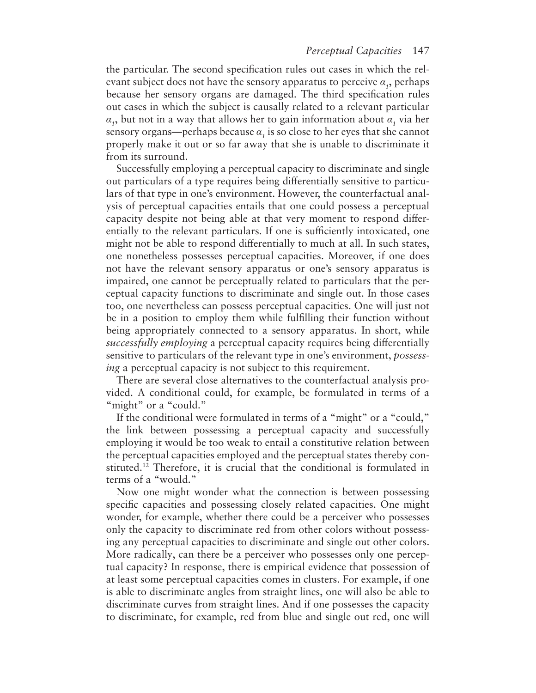the particular. The second specification rules out cases in which the relevant subject does not have the sensory apparatus to perceive  $a_i$ , perhaps because her sensory organs are damaged. The third specification rules out cases in which the subject is causally related to a relevant particular  $\alpha$ <sub>*1*</sub>, but not in a way that allows her to gain information about  $\alpha$ <sub>*1*</sub> via her sensory organs—perhaps because  $a<sub>1</sub>$  is so close to her eyes that she cannot properly make it out or so far away that she is unable to discriminate it from its surround.

Successfully employing a perceptual capacity to discriminate and single out particulars of a type requires being differentially sensitive to particulars of that type in one's environment. However, the counterfactual analysis of perceptual capacities entails that one could possess a perceptual capacity despite not being able at that very moment to respond differentially to the relevant particulars. If one is sufficiently intoxicated, one might not be able to respond differentially to much at all. In such states, one nonetheless possesses perceptual capacities. Moreover, if one does not have the relevant sensory apparatus or one's sensory apparatus is impaired, one cannot be perceptually related to particulars that the perceptual capacity functions to discriminate and single out. In those cases too, one nevertheless can possess perceptual capacities. One will just not be in a position to employ them while fulfilling their function without being appropriately connected to a sensory apparatus. In short, while *successfully employing* a perceptual capacity requires being differentially sensitive to particulars of the relevant type in one's environment, *possessing* a perceptual capacity is not subject to this requirement.

There are several close alternatives to the counterfactual analysis provided. A conditional could, for example, be formulated in terms of a "might" or a "could."

If the conditional were formulated in terms of a "might" or a "could," the link between possessing a perceptual capacity and successfully employing it would be too weak to entail a constitutive relation between the perceptual capacities employed and the perceptual states thereby constituted.<sup>12</sup> Therefore, it is crucial that the conditional is formulated in terms of a "would."

Now one might wonder what the connection is between possessing specific capacities and possessing closely related capacities. One might wonder, for example, whether there could be a perceiver who possesses only the capacity to discriminate red from other colors without possessing any perceptual capacities to discriminate and single out other colors. More radically, can there be a perceiver who possesses only one perceptual capacity? In response, there is empirical evidence that possession of at least some perceptual capacities comes in clusters. For example, if one is able to discriminate angles from straight lines, one will also be able to discriminate curves from straight lines. And if one possesses the capacity to discriminate, for example, red from blue and single out red, one will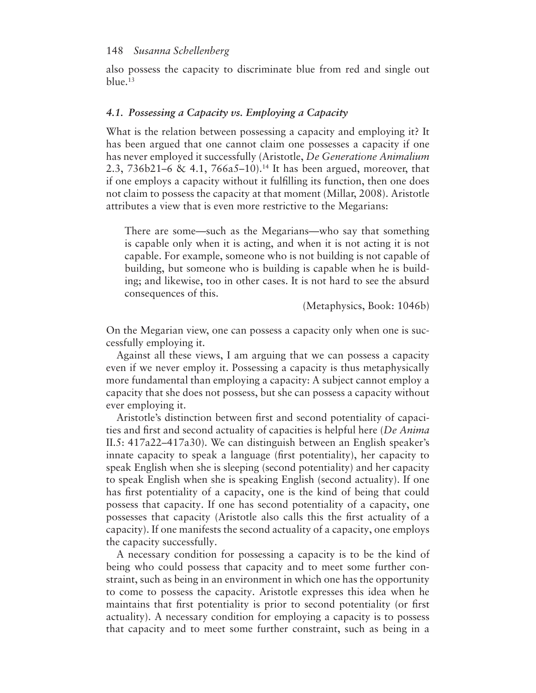also possess the capacity to discriminate blue from red and single out blue.<sup>13</sup>

#### *4.1. Possessing a Capacity vs. Employing a Capacity*

What is the relation between possessing a capacity and employing it? It has been argued that one cannot claim one possesses a capacity if one has never employed it successfully (Aristotle, *De Generatione Animalium* 2.3, 736b21–6 & 4.1, 766a5–10).<sup>14</sup> It has been argued, moreover, that if one employs a capacity without it fulfilling its function, then one does not claim to possess the capacity at that moment (Millar, 2008). Aristotle attributes a view that is even more restrictive to the Megarians:

There are some—such as the Megarians—who say that something is capable only when it is acting, and when it is not acting it is not capable. For example, someone who is not building is not capable of building, but someone who is building is capable when he is building; and likewise, too in other cases. It is not hard to see the absurd consequences of this.

(Metaphysics, Book: 1046b)

On the Megarian view, one can possess a capacity only when one is successfully employing it.

Against all these views, I am arguing that we can possess a capacity even if we never employ it. Possessing a capacity is thus metaphysically more fundamental than employing a capacity: A subject cannot employ a capacity that she does not possess, but she can possess a capacity without ever employing it.

Aristotle's distinction between first and second potentiality of capacities and first and second actuality of capacities is helpful here (*De Anima* II.5: 417a22–417a30). We can distinguish between an English speaker's innate capacity to speak a language (first potentiality), her capacity to speak English when she is sleeping (second potentiality) and her capacity to speak English when she is speaking English (second actuality). If one has first potentiality of a capacity, one is the kind of being that could possess that capacity. If one has second potentiality of a capacity, one possesses that capacity (Aristotle also calls this the first actuality of a capacity). If one manifests the second actuality of a capacity, one employs the capacity successfully.

A necessary condition for possessing a capacity is to be the kind of being who could possess that capacity and to meet some further constraint, such as being in an environment in which one has the opportunity to come to possess the capacity. Aristotle expresses this idea when he maintains that first potentiality is prior to second potentiality (or first actuality). A necessary condition for employing a capacity is to possess that capacity and to meet some further constraint, such as being in a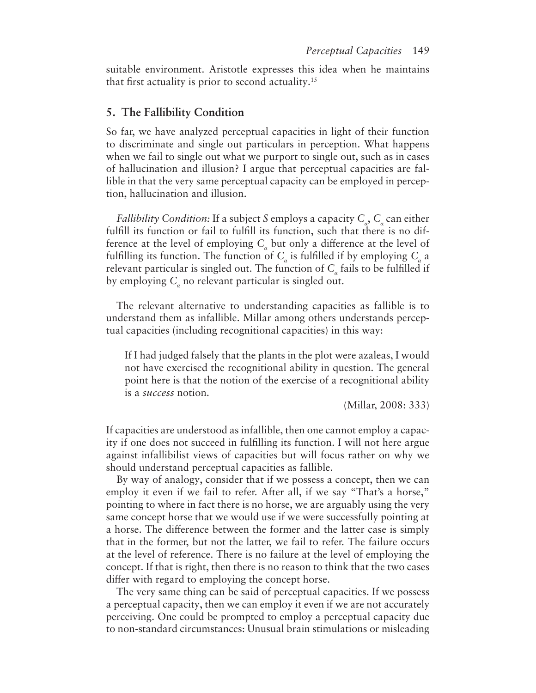suitable environment. Aristotle expresses this idea when he maintains that first actuality is prior to second actuality.15

## **5. The Fallibility Condition**

So far, we have analyzed perceptual capacities in light of their function to discriminate and single out particulars in perception. What happens when we fail to single out what we purport to single out, such as in cases of hallucination and illusion? I argue that perceptual capacities are fallible in that the very same perceptual capacity can be employed in perception, hallucination and illusion.

*Fallibility Condition:* If a subject *S* employs a capacity  $C_a$ ,  $C_a$  can either fulfill its function or fail to fulfill its function, such that there is no difference at the level of employing  $C_a$  but only a difference at the level of fulfilling its function. The function of  $C_{\alpha}$  is fulfilled if by employing  $C_{\alpha}$  a relevant particular is singled out. The function of *C<sup>Į</sup>* fails to be fulfilled if by employing  $C_{\alpha}$  no relevant particular is singled out.

The relevant alternative to understanding capacities as fallible is to understand them as infallible. Millar among others understands perceptual capacities (including recognitional capacities) in this way:

If I had judged falsely that the plants in the plot were azaleas, I would not have exercised the recognitional ability in question. The general point here is that the notion of the exercise of a recognitional ability is a *success* notion.

(Millar, 2008: 333)

If capacities are understood as infallible, then one cannot employ a capacity if one does not succeed in fulfilling its function. I will not here argue against infallibilist views of capacities but will focus rather on why we should understand perceptual capacities as fallible.

By way of analogy, consider that if we possess a concept, then we can employ it even if we fail to refer. After all, if we say "That's a horse," pointing to where in fact there is no horse, we are arguably using the very same concept horse that we would use if we were successfully pointing at a horse. The difference between the former and the latter case is simply that in the former, but not the latter, we fail to refer. The failure occurs at the level of reference. There is no failure at the level of employing the concept. If that is right, then there is no reason to think that the two cases differ with regard to employing the concept horse.

The very same thing can be said of perceptual capacities. If we possess a perceptual capacity, then we can employ it even if we are not accurately perceiving. One could be prompted to employ a perceptual capacity due to non-standard circumstances: Unusual brain stimulations or misleading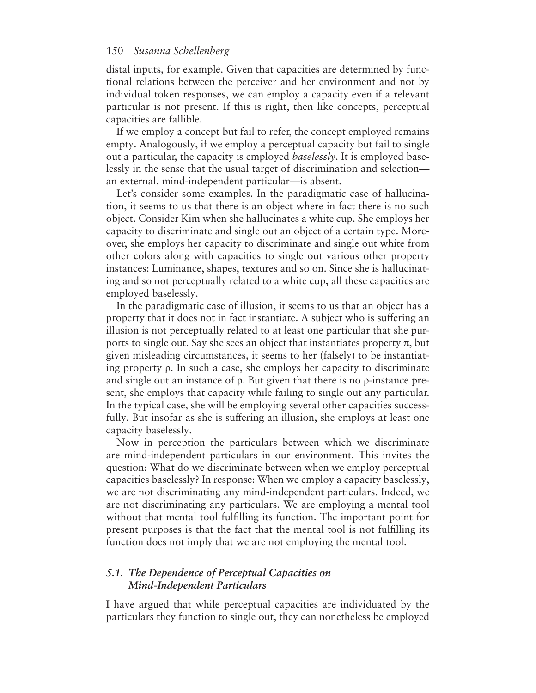distal inputs, for example. Given that capacities are determined by functional relations between the perceiver and her environment and not by individual token responses, we can employ a capacity even if a relevant particular is not present. If this is right, then like concepts, perceptual capacities are fallible.

If we employ a concept but fail to refer, the concept employed remains empty. Analogously, if we employ a perceptual capacity but fail to single out a particular, the capacity is employed *baselessly*. It is employed baselessly in the sense that the usual target of discrimination and selection an external, mind-independent particular—is absent.

Let's consider some examples. In the paradigmatic case of hallucination, it seems to us that there is an object where in fact there is no such object. Consider Kim when she hallucinates a white cup. She employs her capacity to discriminate and single out an object of a certain type. Moreover, she employs her capacity to discriminate and single out white from other colors along with capacities to single out various other property instances: Luminance, shapes, textures and so on. Since she is hallucinating and so not perceptually related to a white cup, all these capacities are employed baselessly.

In the paradigmatic case of illusion, it seems to us that an object has a property that it does not in fact instantiate. A subject who is suffering an illusion is not perceptually related to at least one particular that she purports to single out. Say she sees an object that instantiates property  $\pi$ , but given misleading circumstances, it seems to her (falsely) to be instantiating property  $\rho$ . In such a case, she employs her capacity to discriminate and single out an instance of  $\rho$ . But given that there is no  $\rho$ -instance present, she employs that capacity while failing to single out any particular. In the typical case, she will be employing several other capacities successfully. But insofar as she is suffering an illusion, she employs at least one capacity baselessly.

Now in perception the particulars between which we discriminate are mind-independent particulars in our environment. This invites the question: What do we discriminate between when we employ perceptual capacities baselessly? In response: When we employ a capacity baselessly, we are not discriminating any mind-independent particulars. Indeed, we are not discriminating any particulars. We are employing a mental tool without that mental tool fulfilling its function. The important point for present purposes is that the fact that the mental tool is not fulfilling its function does not imply that we are not employing the mental tool.

## *5.1. The Dependence of Perceptual Capacities on Mind-Independent Particulars*

I have argued that while perceptual capacities are individuated by the particulars they function to single out, they can nonetheless be employed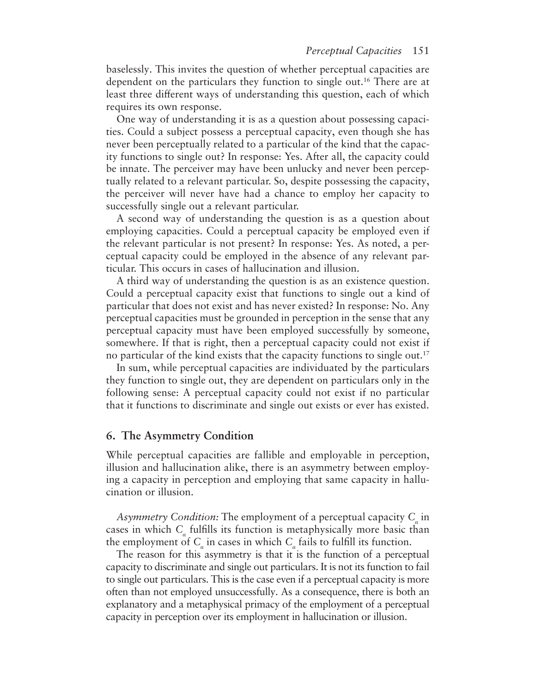baselessly. This invites the question of whether perceptual capacities are dependent on the particulars they function to single out.<sup>16</sup> There are at least three different ways of understanding this question, each of which requires its own response.

One way of understanding it is as a question about possessing capacities. Could a subject possess a perceptual capacity, even though she has never been perceptually related to a particular of the kind that the capacity functions to single out? In response: Yes. After all, the capacity could be innate. The perceiver may have been unlucky and never been perceptually related to a relevant particular. So, despite possessing the capacity, the perceiver will never have had a chance to employ her capacity to successfully single out a relevant particular.

A second way of understanding the question is as a question about employing capacities. Could a perceptual capacity be employed even if the relevant particular is not present? In response: Yes. As noted, a perceptual capacity could be employed in the absence of any relevant particular. This occurs in cases of hallucination and illusion.

A third way of understanding the question is as an existence question. Could a perceptual capacity exist that functions to single out a kind of particular that does not exist and has never existed? In response: No. Any perceptual capacities must be grounded in perception in the sense that any perceptual capacity must have been employed successfully by someone, somewhere. If that is right, then a perceptual capacity could not exist if no particular of the kind exists that the capacity functions to single out.<sup>17</sup>

In sum, while perceptual capacities are individuated by the particulars they function to single out, they are dependent on particulars only in the following sense: A perceptual capacity could not exist if no particular that it functions to discriminate and single out exists or ever has existed.

## **6. The Asymmetry Condition**

While perceptual capacities are fallible and employable in perception, illusion and hallucination alike, there is an asymmetry between employing a capacity in perception and employing that same capacity in hallucination or illusion.

*Asymmetry Condition:* The employment of a perceptual capacity  $C_{\alpha}$  in cases in which *C<sup>Į</sup>* fulfills its function is metaphysically more basic than the employment of  $C_a$  in cases in which  $C_a$  fails to fulfill its function.

The reason for this asymmetry is that it is the function of a perceptual capacity to discriminate and single out particulars. It is not its function to fail to single out particulars. This is the case even if a perceptual capacity is more often than not employed unsuccessfully. As a consequence, there is both an explanatory and a metaphysical primacy of the employment of a perceptual capacity in perception over its employment in hallucination or illusion.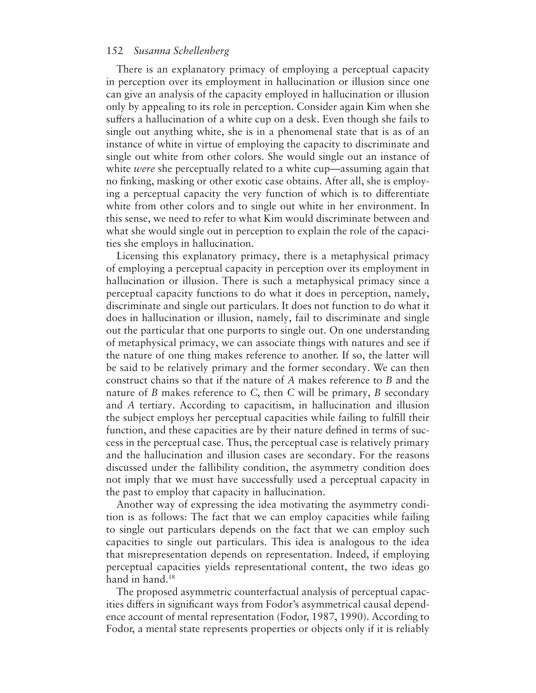There is an explanatory primacy of employing a perceptual capacity in perception over its employment in hallucination or illusion since one can give an analysis of the capacity employed in hallucination or illusion only by appealing to its role in perception. Consider again Kim when she suffers a hallucination of a white cup on a desk. Even though she fails to single out anything white, she is in a phenomenal state that is as of an instance of white in virtue of employing the capacity to discriminate and single out white from other colors. She would single out an instance of white *were* she perceptually related to a white cup—assuming again that no finking, masking or other exotic case obtains. After all, she is employing a perceptual capacity the very function of which is to differentiate white from other colors and to single out white in her environment. In this sense, we need to refer to what Kim would discriminate between and what she would single out in perception to explain the role of the capacities she employs in hallucination.

Licensing this explanatory primacy, there is a metaphysical primacy of employing a perceptual capacity in perception over its employment in hallucination or illusion. There is such a metaphysical primacy since a perceptual capacity functions to do what it does in perception, namely, discriminate and single out particulars. It does not function to do what it does in hallucination or illusion, namely, fail to discriminate and single out the particular that one purports to single out. On one understanding of metaphysical primacy, we can associate things with natures and see if the nature of one thing makes reference to another. If so, the latter will be said to be relatively primary and the former secondary. We can then construct chains so that if the nature of *A* makes reference to *B* and the nature of *B* makes reference to *C*, then *C* will be primary, *B* secondary and *A* tertiary. According to capacitism, in hallucination and illusion the subject employs her perceptual capacities while failing to fulfill their function, and these capacities are by their nature defined in terms of success in the perceptual case. Thus, the perceptual case is relatively primary and the hallucination and illusion cases are secondary. For the reasons discussed under the fallibility condition, the asymmetry condition does not imply that we must have successfully used a perceptual capacity in the past to employ that capacity in hallucination.

Another way of expressing the idea motivating the asymmetry condition is as follows: The fact that we can employ capacities while failing to single out particulars depends on the fact that we can employ such capacities to single out particulars. This idea is analogous to the idea that misrepresentation depends on representation. Indeed, if employing perceptual capacities yields representational content, the two ideas go hand in hand.<sup>18</sup>

The proposed asymmetric counterfactual analysis of perceptual capacities differs in significant ways from Fodor's asymmetrical causal dependence account of mental representation (Fodor, 1987, 1990). According to Fodor, a mental state represents properties or objects only if it is reliably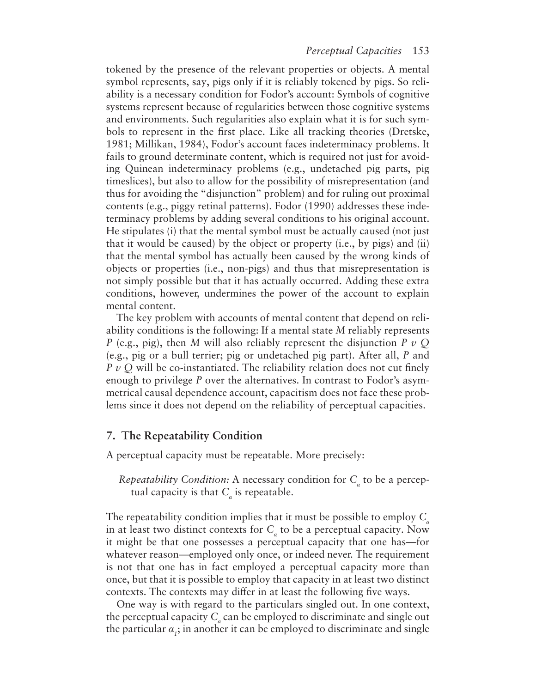tokened by the presence of the relevant properties or objects. A mental symbol represents, say, pigs only if it is reliably tokened by pigs. So reliability is a necessary condition for Fodor's account: Symbols of cognitive systems represent because of regularities between those cognitive systems and environments. Such regularities also explain what it is for such symbols to represent in the first place. Like all tracking theories (Dretske, 1981; Millikan, 1984), Fodor's account faces indeterminacy problems. It fails to ground determinate content, which is required not just for avoiding Quinean indeterminacy problems (e.g., undetached pig parts, pig timeslices), but also to allow for the possibility of misrepresentation (and thus for avoiding the "disjunction" problem) and for ruling out proximal contents (e.g., piggy retinal patterns). Fodor (1990) addresses these indeterminacy problems by adding several conditions to his original account. He stipulates (i) that the mental symbol must be actually caused (not just that it would be caused) by the object or property (i.e., by pigs) and (ii) that the mental symbol has actually been caused by the wrong kinds of objects or properties (i.e., non-pigs) and thus that misrepresentation is not simply possible but that it has actually occurred. Adding these extra conditions, however, undermines the power of the account to explain mental content.

The key problem with accounts of mental content that depend on reliability conditions is the following: If a mental state *M* reliably represents *P* (e.g., pig), then *M* will also reliably represent the disjunction *P v Q* (e.g., pig or a bull terrier; pig or undetached pig part). After all, *P* and *P v Q* will be co-instantiated. The reliability relation does not cut finely enough to privilege *P* over the alternatives. In contrast to Fodor's asymmetrical causal dependence account, capacitism does not face these problems since it does not depend on the reliability of perceptual capacities.

## **7. The Repeatability Condition**

A perceptual capacity must be repeatable. More precisely:

*Repeatability Condition:* A necessary condition for  $C_{\alpha}$  to be a perceptual capacity is that  $C_{\alpha}$  is repeatable.

The repeatability condition implies that it must be possible to employ *C<sup>Į</sup>* in at least two distinct contexts for  $C_{\alpha}$  to be a perceptual capacity. Now it might be that one possesses a perceptual capacity that one has—for whatever reason—employed only once, or indeed never. The requirement is not that one has in fact employed a perceptual capacity more than once, but that it is possible to employ that capacity in at least two distinct contexts. The contexts may differ in at least the following five ways.

One way is with regard to the particulars singled out. In one context, the perceptual capacity  $C_a$  can be employed to discriminate and single out the particular  $a_i$ ; in another it can be employed to discriminate and single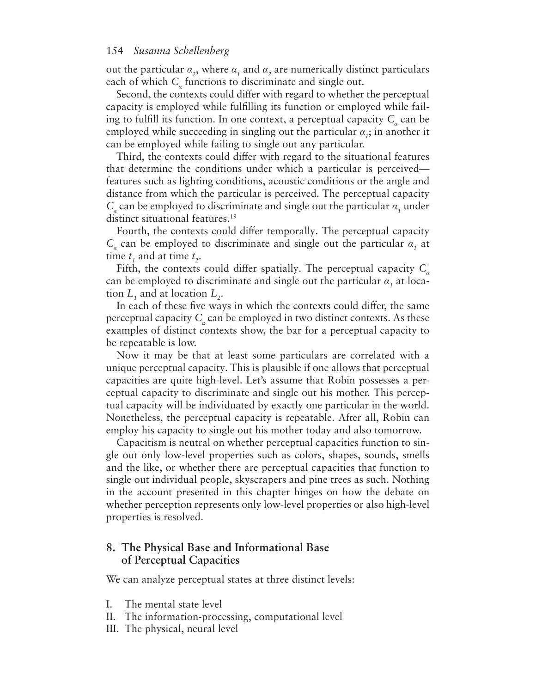out the particular  $\alpha_2$ , where  $\alpha_1$  and  $\alpha_2$  are numerically distinct particulars each of which  $C_{\alpha}$  functions to discriminate and single out.

Second, the contexts could differ with regard to whether the perceptual capacity is employed while fulfilling its function or employed while failing to fulfill its function. In one context, a perceptual capacity  $C_{\alpha}$  can be employed while succeeding in singling out the particular  $\alpha_i$ ; in another it can be employed while failing to single out any particular.

Third, the contexts could differ with regard to the situational features that determine the conditions under which a particular is perceived features such as lighting conditions, acoustic conditions or the angle and distance from which the particular is perceived. The perceptual capacity  $C_a$  can be employed to discriminate and single out the particular  $\alpha_1$  under distinct situational features.<sup>19</sup>

Fourth, the contexts could differ temporally. The perceptual capacity  $C_{\alpha}$  can be employed to discriminate and single out the particular  $\alpha_1$  at time  $t_1$  and at time  $t_2$ .

Fifth, the contexts could differ spatially. The perceptual capacity  $C_{\alpha}$ can be employed to discriminate and single out the particular  $\alpha_i$  at location  $L_i$  and at location  $L_i$ .

In each of these five ways in which the contexts could differ, the same perceptual capacity  $C_{\alpha}$  can be employed in two distinct contexts. As these examples of distinct contexts show, the bar for a perceptual capacity to be repeatable is low.

Now it may be that at least some particulars are correlated with a unique perceptual capacity. This is plausible if one allows that perceptual capacities are quite high-level. Let's assume that Robin possesses a perceptual capacity to discriminate and single out his mother. This perceptual capacity will be individuated by exactly one particular in the world. Nonetheless, the perceptual capacity is repeatable. After all, Robin can employ his capacity to single out his mother today and also tomorrow.

Capacitism is neutral on whether perceptual capacities function to single out only low-level properties such as colors, shapes, sounds, smells and the like, or whether there are perceptual capacities that function to single out individual people, skyscrapers and pine trees as such. Nothing in the account presented in this chapter hinges on how the debate on whether perception represents only low-level properties or also high-level properties is resolved.

## **8. The Physical Base and Informational Base of Perceptual Capacities**

We can analyze perceptual states at three distinct levels:

- I. The mental state level
- II. The information-processing, computational level
- III. The physical, neural level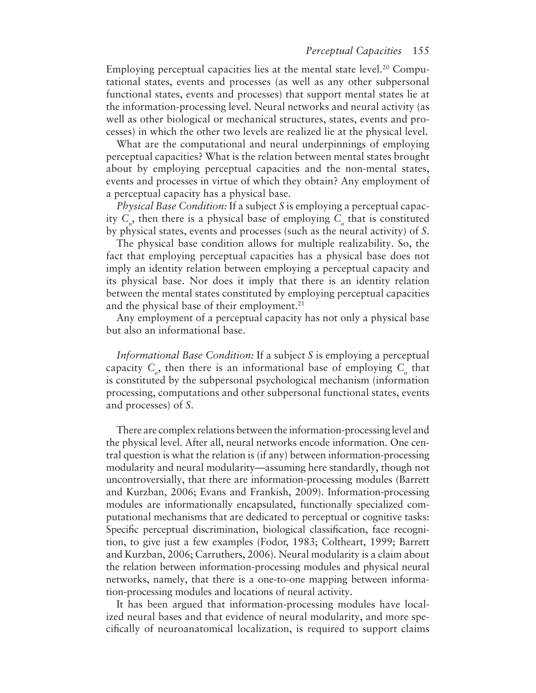Employing perceptual capacities lies at the mental state level.<sup>20</sup> Computational states, events and processes (as well as any other subpersonal functional states, events and processes) that support mental states lie at the information-processing level. Neural networks and neural activity (as well as other biological or mechanical structures, states, events and processes) in which the other two levels are realized lie at the physical level.

What are the computational and neural underpinnings of employing perceptual capacities? What is the relation between mental states brought about by employing perceptual capacities and the non-mental states, events and processes in virtue of which they obtain? Any employment of a perceptual capacity has a physical base.

*Physical Base Condition:* If a subject *S* is employing a perceptual capacity  $C_{\alpha}$ , then there is a physical base of employing  $C_{\alpha}$  that is constituted by physical states, events and processes (such as the neural activity) of *S*.

The physical base condition allows for multiple realizability. So, the fact that employing perceptual capacities has a physical base does not imply an identity relation between employing a perceptual capacity and its physical base. Nor does it imply that there is an identity relation between the mental states constituted by employing perceptual capacities and the physical base of their employment.<sup>21</sup>

Any employment of a perceptual capacity has not only a physical base but also an informational base.

*Informational Base Condition:* If a subject *S* is employing a perceptual capacity  $C_a$ , then there is an informational base of employing  $C_a$  that is constituted by the subpersonal psychological mechanism (information processing, computations and other subpersonal functional states, events and processes) of *S*.

There are complex relations between the information-processing level and the physical level. After all, neural networks encode information. One central question is what the relation is (if any) between information-processing modularity and neural modularity—assuming here standardly, though not uncontroversially, that there are information-processing modules (Barrett and Kurzban, 2006; Evans and Frankish, 2009). Information-processing modules are informationally encapsulated, functionally specialized computational mechanisms that are dedicated to perceptual or cognitive tasks: Specific perceptual discrimination, biological classification, face recognition, to give just a few examples (Fodor, 1983; Coltheart, 1999; Barrett and Kurzban, 2006; Carruthers, 2006). Neural modularity is a claim about the relation between information-processing modules and physical neural networks, namely, that there is a one-to-one mapping between information-processing modules and locations of neural activity.

It has been argued that information-processing modules have localized neural bases and that evidence of neural modularity, and more specifically of neuroanatomical localization, is required to support claims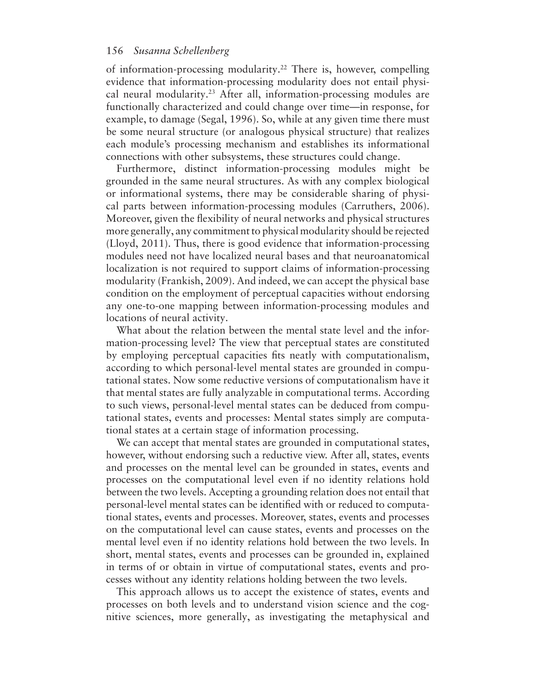of information-processing modularity.22 There is, however, compelling evidence that information-processing modularity does not entail physical neural modularity.23 After all, information-processing modules are functionally characterized and could change over time—in response, for example, to damage (Segal, 1996). So, while at any given time there must be some neural structure (or analogous physical structure) that realizes each module's processing mechanism and establishes its informational connections with other subsystems, these structures could change.

Furthermore, distinct information-processing modules might be grounded in the same neural structures. As with any complex biological or informational systems, there may be considerable sharing of physical parts between information-processing modules (Carruthers, 2006). Moreover, given the flexibility of neural networks and physical structures more generally, any commitment to physical modularity should be rejected (Lloyd, 2011). Thus, there is good evidence that information-processing modules need not have localized neural bases and that neuroanatomical localization is not required to support claims of information-processing modularity (Frankish, 2009). And indeed, we can accept the physical base condition on the employment of perceptual capacities without endorsing any one-to-one mapping between information-processing modules and locations of neural activity.

What about the relation between the mental state level and the information-processing level? The view that perceptual states are constituted by employing perceptual capacities fits neatly with computationalism, according to which personal-level mental states are grounded in computational states. Now some reductive versions of computationalism have it that mental states are fully analyzable in computational terms. According to such views, personal-level mental states can be deduced from computational states, events and processes: Mental states simply are computational states at a certain stage of information processing.

We can accept that mental states are grounded in computational states, however, without endorsing such a reductive view. After all, states, events and processes on the mental level can be grounded in states, events and processes on the computational level even if no identity relations hold between the two levels. Accepting a grounding relation does not entail that personal-level mental states can be identified with or reduced to computational states, events and processes. Moreover, states, events and processes on the computational level can cause states, events and processes on the mental level even if no identity relations hold between the two levels. In short, mental states, events and processes can be grounded in, explained in terms of or obtain in virtue of computational states, events and processes without any identity relations holding between the two levels.

This approach allows us to accept the existence of states, events and processes on both levels and to understand vision science and the cognitive sciences, more generally, as investigating the metaphysical and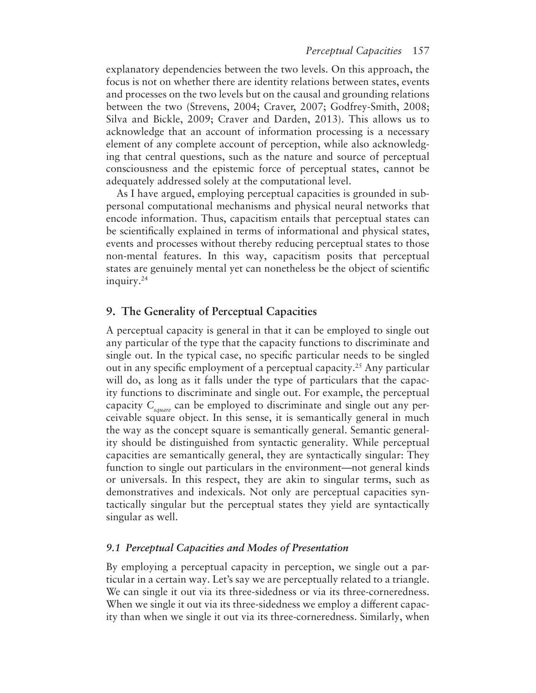explanatory dependencies between the two levels. On this approach, the focus is not on whether there are identity relations between states, events and processes on the two levels but on the causal and grounding relations between the two (Strevens, 2004; Craver, 2007; Godfrey-Smith, 2008; Silva and Bickle, 2009; Craver and Darden, 2013). This allows us to acknowledge that an account of information processing is a necessary element of any complete account of perception, while also acknowledging that central questions, such as the nature and source of perceptual consciousness and the epistemic force of perceptual states, cannot be adequately addressed solely at the computational level.

As I have argued, employing perceptual capacities is grounded in subpersonal computational mechanisms and physical neural networks that encode information. Thus, capacitism entails that perceptual states can be scientifically explained in terms of informational and physical states, events and processes without thereby reducing perceptual states to those non-mental features. In this way, capacitism posits that perceptual states are genuinely mental yet can nonetheless be the object of scientific inquiry.24

## **9. The Generality of Perceptual Capacities**

A perceptual capacity is general in that it can be employed to single out any particular of the type that the capacity functions to discriminate and single out. In the typical case, no specific particular needs to be singled out in any specific employment of a perceptual capacity.25 Any particular will do, as long as it falls under the type of particulars that the capacity functions to discriminate and single out. For example, the perceptual capacity *C square* can be employed to discriminate and single out any perceivable square object. In this sense, it is semantically general in much the way as the concept square is semantically general. Semantic generality should be distinguished from syntactic generality. While perceptual capacities are semantically general, they are syntactically singular: They function to single out particulars in the environment—not general kinds or universals. In this respect, they are akin to singular terms, such as demonstratives and indexicals. Not only are perceptual capacities syntactically singular but the perceptual states they yield are syntactically singular as well.

## *9.1 Perceptual Capacities and Modes of Presentation*

By employing a perceptual capacity in perception, we single out a particular in a certain way. Let's say we are perceptually related to a triangle. We can single it out via its three-sidedness or via its three-corneredness. When we single it out via its three-sidedness we employ a different capacity than when we single it out via its three-corneredness. Similarly, when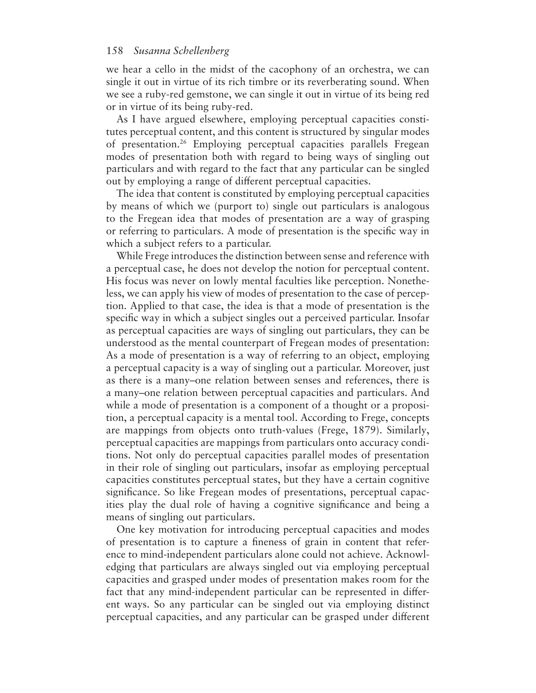we hear a cello in the midst of the cacophony of an orchestra, we can single it out in virtue of its rich timbre or its reverberating sound. When we see a ruby-red gemstone, we can single it out in virtue of its being red or in virtue of its being ruby-red.

As I have argued elsewhere, employing perceptual capacities constitutes perceptual content, and this content is structured by singular modes of presentation.26 Employing perceptual capacities parallels Fregean modes of presentation both with regard to being ways of singling out particulars and with regard to the fact that any particular can be singled out by employing a range of different perceptual capacities.

The idea that content is constituted by employing perceptual capacities by means of which we (purport to) single out particulars is analogous to the Fregean idea that modes of presentation are a way of grasping or referring to particulars. A mode of presentation is the specific way in which a subject refers to a particular.

While Frege introduces the distinction between sense and reference with a perceptual case, he does not develop the notion for perceptual content. His focus was never on lowly mental faculties like perception. Nonetheless, we can apply his view of modes of presentation to the case of perception. Applied to that case, the idea is that a mode of presentation is the specific way in which a subject singles out a perceived particular. Insofar as perceptual capacities are ways of singling out particulars, they can be understood as the mental counterpart of Fregean modes of presentation: As a mode of presentation is a way of referring to an object, employing a perceptual capacity is a way of singling out a particular. Moreover, just as there is a many–one relation between senses and references, there is a many–one relation between perceptual capacities and particulars. And while a mode of presentation is a component of a thought or a proposition, a perceptual capacity is a mental tool. According to Frege, concepts are mappings from objects onto truth-values (Frege, 1879). Similarly, perceptual capacities are mappings from particulars onto accuracy conditions. Not only do perceptual capacities parallel modes of presentation in their role of singling out particulars, insofar as employing perceptual capacities constitutes perceptual states, but they have a certain cognitive significance. So like Fregean modes of presentations, perceptual capacities play the dual role of having a cognitive significance and being a means of singling out particulars.

One key motivation for introducing perceptual capacities and modes of presentation is to capture a fineness of grain in content that reference to mind-independent particulars alone could not achieve. Acknowledging that particulars are always singled out via employing perceptual capacities and grasped under modes of presentation makes room for the fact that any mind-independent particular can be represented in different ways. So any particular can be singled out via employing distinct perceptual capacities, and any particular can be grasped under different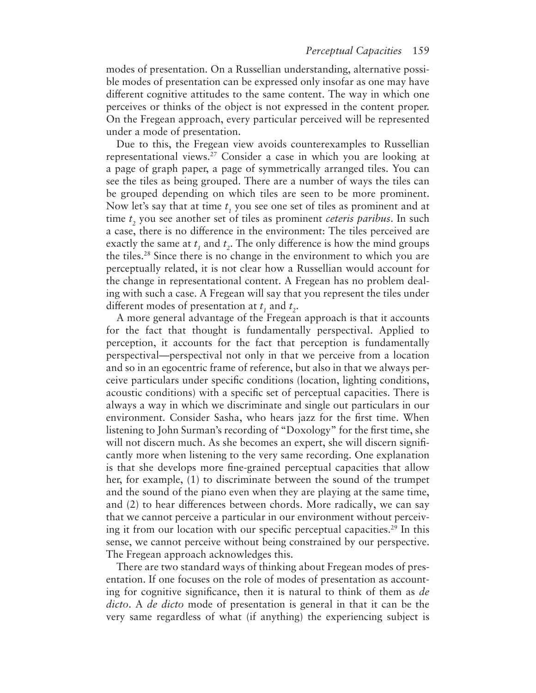modes of presentation. On a Russellian understanding, alternative possible modes of presentation can be expressed only insofar as one may have different cognitive attitudes to the same content. The way in which one perceives or thinks of the object is not expressed in the content proper. On the Fregean approach, every particular perceived will be represented under a mode of presentation.

Due to this, the Fregean view avoids counterexamples to Russellian representational views.27 Consider a case in which you are looking at a page of graph paper, a page of symmetrically arranged tiles. You can see the tiles as being grouped. There are a number of ways the tiles can be grouped depending on which tiles are seen to be more prominent. Now let's say that at time  $t_1$  you see one set of tiles as prominent and at time *t 2* you see another set of tiles as prominent *ceteris paribus*. In such a case, there is no difference in the environment: The tiles perceived are exactly the same at  $t_1$  and  $t_2$ . The only difference is how the mind groups the tiles.28 Since there is no change in the environment to which you are perceptually related, it is not clear how a Russellian would account for the change in representational content. A Fregean has no problem dealing with such a case. A Fregean will say that you represent the tiles under different modes of presentation at  $t_1$  and  $t_2$ .

A more general advantage of the Fregean approach is that it accounts for the fact that thought is fundamentally perspectival. Applied to perception, it accounts for the fact that perception is fundamentally perspectival—perspectival not only in that we perceive from a location and so in an egocentric frame of reference, but also in that we always perceive particulars under specific conditions (location, lighting conditions, acoustic conditions) with a specific set of perceptual capacities. There is always a way in which we discriminate and single out particulars in our environment. Consider Sasha, who hears jazz for the first time. When listening to John Surman's recording of "Doxology" for the first time, she will not discern much. As she becomes an expert, she will discern significantly more when listening to the very same recording. One explanation is that she develops more fine-grained perceptual capacities that allow her, for example, (1) to discriminate between the sound of the trumpet and the sound of the piano even when they are playing at the same time, and  $(2)$  to hear differences between chords. More radically, we can say that we cannot perceive a particular in our environment without perceiving it from our location with our specific perceptual capacities.29 In this sense, we cannot perceive without being constrained by our perspective. The Fregean approach acknowledges this.

There are two standard ways of thinking about Fregean modes of presentation. If one focuses on the role of modes of presentation as accounting for cognitive significance, then it is natural to think of them as *de dicto*. A *de dicto* mode of presentation is general in that it can be the very same regardless of what (if anything) the experiencing subject is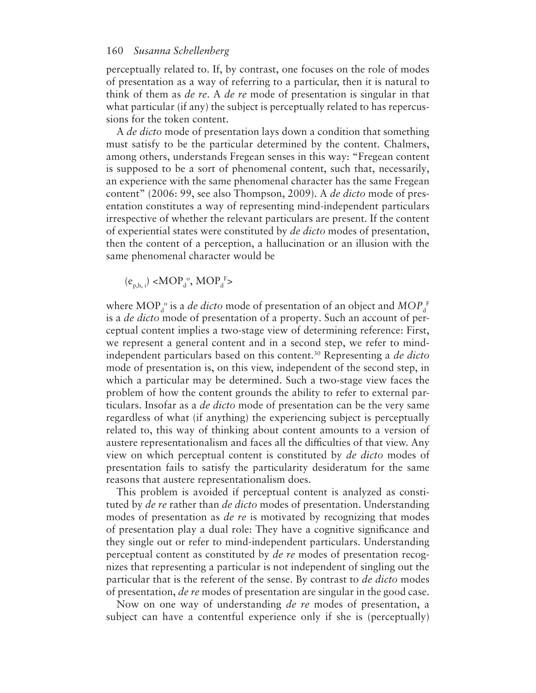perceptually related to. If, by contrast, one focuses on the role of modes of presentation as a way of referring to a particular, then it is natural to think of them as *de re*. A *de re* mode of presentation is singular in that what particular (if any) the subject is perceptually related to has repercussions for the token content.

A *de dicto* mode of presentation lays down a condition that something must satisfy to be the particular determined by the content. Chalmers, among others, understands Fregean senses in this way: "Fregean content is supposed to be a sort of phenomenal content, such that, necessarily, an experience with the same phenomenal character has the same Fregean content" (2006: 99, see also Thompson, 2009). A *de dicto* mode of presentation constitutes a way of representing mind-independent particulars irrespective of whether the relevant particulars are present. If the content of experiential states were constituted by *de dicto* modes of presentation, then the content of a perception, a hallucination or an illusion with the same phenomenal character would be

 $(e_{p,h,i})$  <MOP<sup>°</sup><sub>d</sub></sub>, MOP<sup>F</sup><sub>d</sub></sub>

where MOP<sub>d</sub>' is a *de dicto* mode of presentation of an object and MOP<sub>d</sub> is a *de dicto* mode of presentation of a property. Such an account of perceptual content implies a two-stage view of determining reference: First, we represent a general content and in a second step, we refer to mindindependent particulars based on this content.30 Representing a *de dicto* mode of presentation is, on this view, independent of the second step, in which a particular may be determined. Such a two-stage view faces the problem of how the content grounds the ability to refer to external particulars. Insofar as a *de dicto* mode of presentation can be the very same regardless of what (if anything) the experiencing subject is perceptually related to, this way of thinking about content amounts to a version of austere representationalism and faces all the difficulties of that view. Any view on which perceptual content is constituted by *de dicto* modes of presentation fails to satisfy the particularity desideratum for the same reasons that austere representationalism does.

This problem is avoided if perceptual content is analyzed as constituted by *de re* rather than *de dicto* modes of presentation. Understanding modes of presentation as *de re* is motivated by recognizing that modes of presentation play a dual role: They have a cognitive significance and they single out or refer to mind-independent particulars. Understanding perceptual content as constituted by *de re* modes of presentation recognizes that representing a particular is not independent of singling out the particular that is the referent of the sense. By contrast to *de dicto* modes of presentation, *de re* modes of presentation are singular in the good case.

Now on one way of understanding *de re* modes of presentation, a subject can have a contentful experience only if she is (perceptually)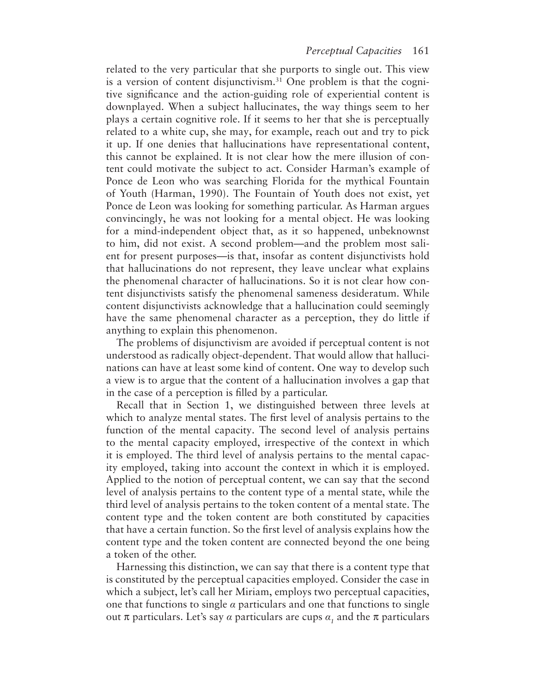related to the very particular that she purports to single out. This view is a version of content disjunctivism.<sup>31</sup> One problem is that the cognitive significance and the action-guiding role of experiential content is downplayed. When a subject hallucinates, the way things seem to her plays a certain cognitive role. If it seems to her that she is perceptually related to a white cup, she may, for example, reach out and try to pick it up. If one denies that hallucinations have representational content, this cannot be explained. It is not clear how the mere illusion of content could motivate the subject to act. Consider Harman's example of Ponce de Leon who was searching Florida for the mythical Fountain of Youth (Harman, 1990). The Fountain of Youth does not exist, yet Ponce de Leon was looking for something particular. As Harman argues convincingly, he was not looking for a mental object. He was looking for a mind-independent object that, as it so happened, unbeknownst to him, did not exist. A second problem—and the problem most salient for present purposes—is that, insofar as content disjunctivists hold that hallucinations do not represent, they leave unclear what explains the phenomenal character of hallucinations. So it is not clear how content disjunctivists satisfy the phenomenal sameness desideratum. While content disjunctivists acknowledge that a hallucination could seemingly have the same phenomenal character as a perception, they do little if anything to explain this phenomenon.

The problems of disjunctivism are avoided if perceptual content is not understood as radically object-dependent. That would allow that hallucinations can have at least some kind of content. One way to develop such a view is to argue that the content of a hallucination involves a gap that in the case of a perception is filled by a particular.

Recall that in Section 1, we distinguished between three levels at which to analyze mental states. The first level of analysis pertains to the function of the mental capacity. The second level of analysis pertains to the mental capacity employed, irrespective of the context in which it is employed. The third level of analysis pertains to the mental capacity employed, taking into account the context in which it is employed. Applied to the notion of perceptual content, we can say that the second level of analysis pertains to the content type of a mental state, while the third level of analysis pertains to the token content of a mental state. The content type and the token content are both constituted by capacities that have a certain function. So the first level of analysis explains how the content type and the token content are connected beyond the one being a token of the other.

Harnessing this distinction, we can say that there is a content type that is constituted by the perceptual capacities employed. Consider the case in which a subject, let's call her Miriam, employs two perceptual capacities, one that functions to single  $\alpha$  particulars and one that functions to single out π particulars. Let's say *α* particulars are cups  $\alpha_i$  and the π particulars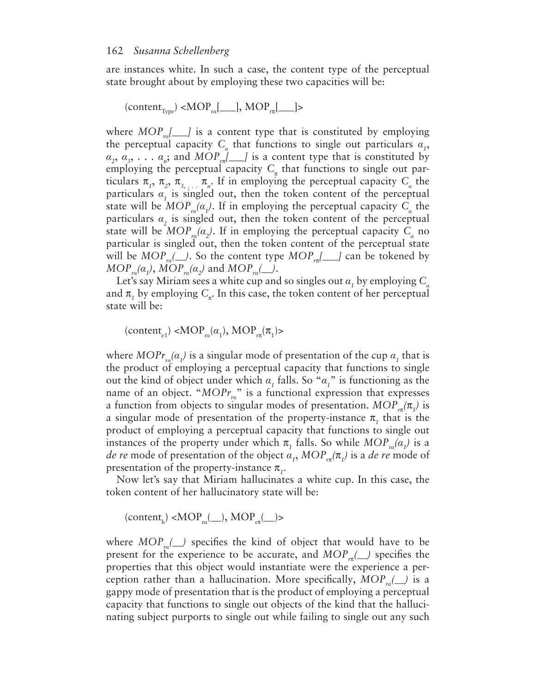are instances white. In such a case, the content type of the perceptual state brought about by employing these two capacities will be:

$$
(\text{content}_{\text{Type}}) < \text{MOP}_{\text{ra}}[\_\_], \text{MOP}_{\text{ra}}[\_\_]
$$

where  $MOP_{rq}$ [*i* is a content type that is constituted by employing the perceptual capacity  $C_{\alpha}$  that functions to single out particulars  $\alpha_{1}$ ,  $\alpha_2, \alpha_3, \ldots, \alpha_n$ ; and  $MOP_{n\pi}[\_\_]$  is a content type that is constituted by employing the perceptual capacity  $C_{\pi}$  that functions to single out particulars  $\pi_1$ ,  $\pi_2$ ,  $\pi_3$ ,  $\pi_n$ . If in employing the perceptual capacity  $C_a$  the particulars  $a_i$  is singled out, then the token content of the perceptual state will be  $MOP_{r}(\alpha_1)$ . If in employing the perceptual capacity  $C_{\alpha}$  the particulars  $a_2$  is singled out, then the token content of the perceptual state will be  $MOP_{r}(a_2)$ . If in employing the perceptual capacity  $C_a$  no particular is singled out, then the token content of the perceptual state will be *MOP<sub>ra</sub>*(
←
∴). So the content type *MOP<sub>rπ</sub>*[
←
∴) can be tokened by  $MOP_{ra}(\alpha_1)$ ,  $MOP_{ra}(\alpha_2)$  and  $MOP_{ra}(\_\_)$ .

Let's say Miriam sees a white cup and so singles out  $\alpha_{1}$  by employing  $C_{\alpha}$ and  $\pi$ <sup>*<sub>1</sub>*</sup> by employing  $C_{\pi}$ . In this case, the token content of her perceptual state will be:

 $\langle$  (content<sub>e1</sub>) <MOP<sub>*rg*</sub>( $\alpha$ <sub>1</sub>), MOP<sub>*rg*</sub>( $\pi$ <sub>1</sub>) >

where  $MOPr_{ra}(\alpha_1)$  is a singular mode of presentation of the cup  $\alpha_1$  that is the product of employing a perceptual capacity that functions to single out the kind of object under which  $\alpha_1$  falls. So " $\alpha_1$ " is functioning as the name of an object. "*MOPr<sub>ra</sub>*" is a functional expression that expresses a function from objects to singular modes of presentation.  $MOP_{n}(\pi_{1})$  is a singular mode of presentation of the property-instance  $\pi$ <sup>1</sup> that is the product of employing a perceptual capacity that functions to single out instances of the property under which  $\pi$ <sup>1</sup> falls. So while  $MOP$ <sub>*ra*</sub> $(\alpha$ <sup>1</sup> $)$  is a *de re* mode of presentation of the object  $\alpha_1$ ,  $MOP_{n}(\pi_1)$  is a *de re* mode of presentation of the property-instance *π<sup>1</sup>* .

Now let's say that Miriam hallucinates a white cup. In this case, the token content of her hallucinatory state will be:

(content<sub>h</sub>) <MOP<sub>*rg*</sub>(*\_\_*), MOP<sub>*rg*</sub>(*\_\_*)>

where  $MOP_{rq}(\_)$  specifies the kind of object that would have to be present for the experience to be accurate, and *MOPr<sup>π</sup> (\_\_)* specifies the properties that this object would instantiate were the experience a perception rather than a hallucination. More specifically,  $MOP_{r\alpha}(\_)$  is a gappy mode of presentation that is the product of employing a perceptual capacity that functions to single out objects of the kind that the hallucinating subject purports to single out while failing to single out any such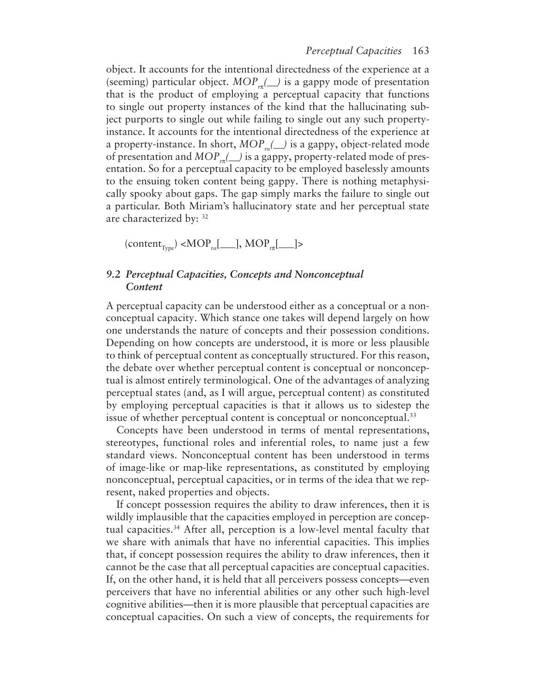object. It accounts for the intentional directedness of the experience at a (seeming) particular object. *MOP<sub><i>r*π</sub>(</del>*\_*) is a gappy mode of presentation that is the product of employing a perceptual capacity that functions to single out property instances of the kind that the hallucinating subject purports to single out while failing to single out any such propertyinstance. It accounts for the intentional directedness of the experience at a property-instance. In short,  $MOP_{r\alpha}(\_\_)$  is a gappy, object-related mode of presentation and  $MOP_{_{r\pi}}(\underline{\hspace{0.1cm}}\underline{\hspace{0.1cm}}\hspace{0.1cm}})$  is a gappy, property-related mode of presentation. So for a perceptual capacity to be employed baselessly amounts to the ensuing token content being gappy. There is nothing metaphysically spooky about gaps. The gap simply marks the failure to single out a particular. Both Miriam's hallucinatory state and her perceptual state are characterized by: 32

 $\langle$  (content<sub>Type</sub>) <MOP<sub>r $\alpha$ </sub> [\_\_\_], MOP<sub>r $\pi$ </sub> [\_\_\_]>

## *9.2 Perceptual Capacities, Concepts and Nonconceptual Content*

A perceptual capacity can be understood either as a conceptual or a nonconceptual capacity. Which stance one takes will depend largely on how one understands the nature of concepts and their possession conditions. Depending on how concepts are understood, it is more or less plausible to think of perceptual content as conceptually structured. For this reason, the debate over whether perceptual content is conceptual or nonconceptual is almost entirely terminological. One of the advantages of analyzing perceptual states (and, as I will argue, perceptual content) as constituted by employing perceptual capacities is that it allows us to sidestep the issue of whether perceptual content is conceptual or nonconceptual.<sup>33</sup>

Concepts have been understood in terms of mental representations, stereotypes, functional roles and inferential roles, to name just a few standard views. Nonconceptual content has been understood in terms of image-like or map-like representations, as constituted by employing nonconceptual, perceptual capacities, or in terms of the idea that we represent, naked properties and objects.

If concept possession requires the ability to draw inferences, then it is wildly implausible that the capacities employed in perception are conceptual capacities.34 After all, perception is a low-level mental faculty that we share with animals that have no inferential capacities. This implies that, if concept possession requires the ability to draw inferences, then it cannot be the case that all perceptual capacities are conceptual capacities. If, on the other hand, it is held that all perceivers possess concepts—even perceivers that have no inferential abilities or any other such high-level cognitive abilities—then it is more plausible that perceptual capacities are conceptual capacities. On such a view of concepts, the requirements for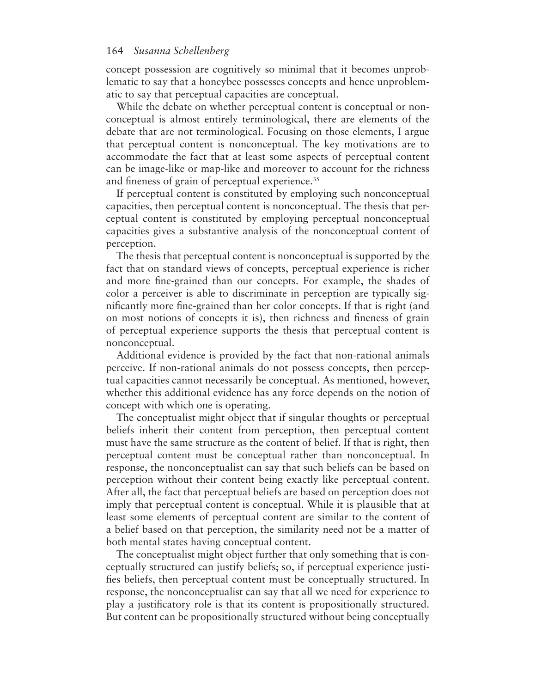concept possession are cognitively so minimal that it becomes unproblematic to say that a honeybee possesses concepts and hence unproblematic to say that perceptual capacities are conceptual.

While the debate on whether perceptual content is conceptual or nonconceptual is almost entirely terminological, there are elements of the debate that are not terminological. Focusing on those elements, I argue that perceptual content is nonconceptual. The key motivations are to accommodate the fact that at least some aspects of perceptual content can be image-like or map-like and moreover to account for the richness and fineness of grain of perceptual experience.35

If perceptual content is constituted by employing such nonconceptual capacities, then perceptual content is nonconceptual. The thesis that perceptual content is constituted by employing perceptual nonconceptual capacities gives a substantive analysis of the nonconceptual content of perception.

The thesis that perceptual content is nonconceptual is supported by the fact that on standard views of concepts, perceptual experience is richer and more fine-grained than our concepts. For example, the shades of color a perceiver is able to discriminate in perception are typically significantly more fine-grained than her color concepts. If that is right (and on most notions of concepts it is), then richness and fineness of grain of perceptual experience supports the thesis that perceptual content is nonconceptual.

Additional evidence is provided by the fact that non-rational animals perceive. If non-rational animals do not possess concepts, then perceptual capacities cannot necessarily be conceptual. As mentioned, however, whether this additional evidence has any force depends on the notion of concept with which one is operating.

The conceptualist might object that if singular thoughts or perceptual beliefs inherit their content from perception, then perceptual content must have the same structure as the content of belief. If that is right, then perceptual content must be conceptual rather than nonconceptual. In response, the nonconceptualist can say that such beliefs can be based on perception without their content being exactly like perceptual content. After all, the fact that perceptual beliefs are based on perception does not imply that perceptual content is conceptual. While it is plausible that at least some elements of perceptual content are similar to the content of a belief based on that perception, the similarity need not be a matter of both mental states having conceptual content.

The conceptualist might object further that only something that is conceptually structured can justify beliefs; so, if perceptual experience justifies beliefs, then perceptual content must be conceptually structured. In response, the nonconceptualist can say that all we need for experience to play a justificatory role is that its content is propositionally structured. But content can be propositionally structured without being conceptually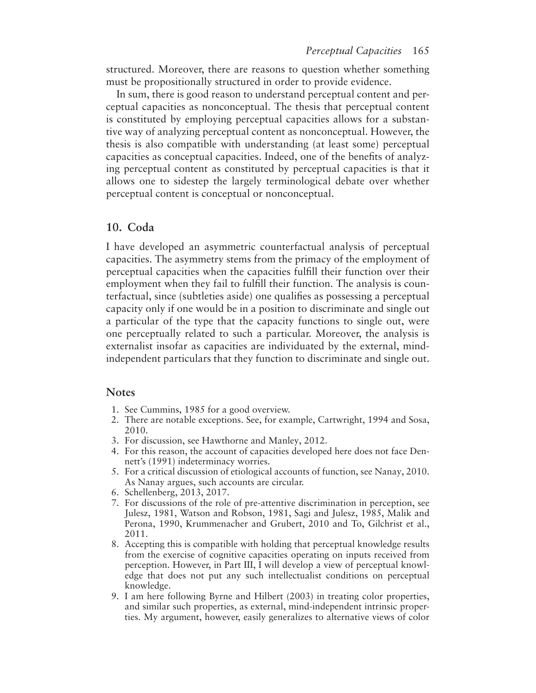structured. Moreover, there are reasons to question whether something must be propositionally structured in order to provide evidence.

In sum, there is good reason to understand perceptual content and perceptual capacities as nonconceptual. The thesis that perceptual content is constituted by employing perceptual capacities allows for a substantive way of analyzing perceptual content as nonconceptual. However, the thesis is also compatible with understanding (at least some) perceptual capacities as conceptual capacities. Indeed, one of the benefits of analyzing perceptual content as constituted by perceptual capacities is that it allows one to sidestep the largely terminological debate over whether perceptual content is conceptual or nonconceptual.

## **10. Coda**

I have developed an asymmetric counterfactual analysis of perceptual capacities. The asymmetry stems from the primacy of the employment of perceptual capacities when the capacities fulfill their function over their employment when they fail to fulfill their function. The analysis is counterfactual, since (subtleties aside) one qualifies as possessing a perceptual capacity only if one would be in a position to discriminate and single out a particular of the type that the capacity functions to single out, were one perceptually related to such a particular. Moreover, the analysis is externalist insofar as capacities are individuated by the external, mindindependent particulars that they function to discriminate and single out.

## **Notes**

- 1. See Cummins, 1985 for a good overview.
- 2. There are notable exceptions. See, for example, Cartwright, 1994 and Sosa, 2010.
- 3. For discussion, see Hawthorne and Manley, 2012.
- 4. For this reason, the account of capacities developed here does not face Dennett's (1991) indeterminacy worries.
- 5. For a critical discussion of etiological accounts of function, see Nanay, 2010. As Nanay argues, such accounts are circular.
- 6. Schellenberg, 2013, 2017.
- 7. For discussions of the role of pre-attentive discrimination in perception, see Julesz, 1981, Watson and Robson, 1981, Sagi and Julesz, 1985, Malik and Perona, 1990, Krummenacher and Grubert, 2010 and To, Gilchrist et al., 2011.
- 8. Accepting this is compatible with holding that perceptual knowledge results from the exercise of cognitive capacities operating on inputs received from perception. However, in Part III, I will develop a view of perceptual knowledge that does not put any such intellectualist conditions on perceptual knowledge.
- 9. I am here following Byrne and Hilbert (2003) in treating color properties, and similar such properties, as external, mind-independent intrinsic properties. My argument, however, easily generalizes to alternative views of color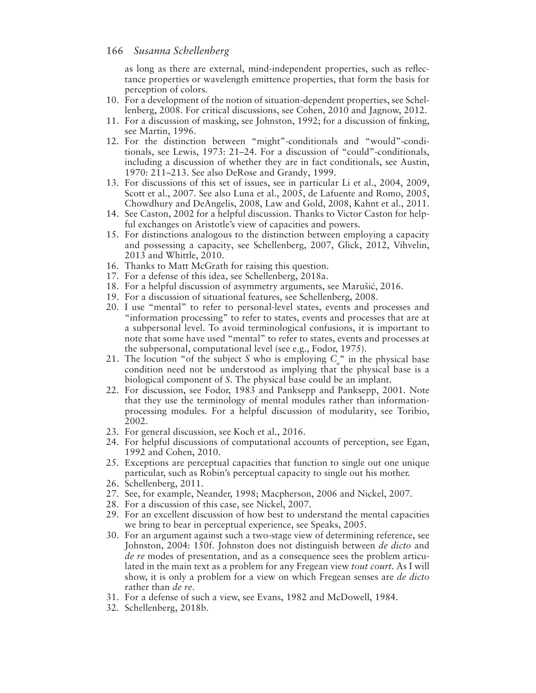as long as there are external, mind-independent properties, such as reflectance properties or wavelength emittence properties, that form the basis for perception of colors.

- 10. For a development of the notion of situation-dependent properties, see Schellenberg, 2008. For critical discussions, see Cohen, 2010 and Jagnow, 2012.
- 11. For a discussion of masking, see Johnston, 1992; for a discussion of finking, see Martin, 1996.
- 12. For the distinction between "might"-conditionals and "would"-conditionals, see Lewis, 1973: 21–24. For a discussion of "could"-conditionals, including a discussion of whether they are in fact conditionals, see Austin, 1970: 211–213. See also DeRose and Grandy, 1999.
- 13. For discussions of this set of issues, see in particular Li et al., 2004, 2009, Scott et al., 2007. See also Luna et al., 2005, de Lafuente and Romo, 2005, Chowdhury and DeAngelis, 2008, Law and Gold, 2008, Kahnt et al., 2011.
- 14. See Caston, 2002 for a helpful discussion. Thanks to Victor Caston for helpful exchanges on Aristotle's view of capacities and powers.
- 15. For distinctions analogous to the distinction between employing a capacity and possessing a capacity, see Schellenberg, 2007, Glick, 2012, Vihvelin, 2013 and Whittle, 2010.
- 16. Thanks to Matt McGrath for raising this question.
- 17. For a defense of this idea, see Schellenberg, 2018a.
- 18. For a helpful discussion of asymmetry arguments, see Marušić, 2016.
- 19. For a discussion of situational features, see Schellenberg, 2008.
- 20. I use "mental" to refer to personal-level states, events and processes and "information processing" to refer to states, events and processes that are at a subpersonal level. To avoid terminological confusions, it is important to note that some have used "mental" to refer to states, events and processes at the subpersonal, computational level (see e.g., Fodor, 1975).
- 21. The locution "of the subject *S* who is employing  $C_{\alpha}$ " in the physical base condition need not be understood as implying that the physical base is a biological component of *S*. The physical base could be an implant.
- 22. For discussion, see Fodor, 1983 and Panksepp and Panksepp, 2001. Note that they use the terminology of mental modules rather than informationprocessing modules. For a helpful discussion of modularity, see Toribio, 2002.
- 23. For general discussion, see Koch et al., 2016.
- 24. For helpful discussions of computational accounts of perception, see Egan, 1992 and Cohen, 2010.
- 25. Exceptions are perceptual capacities that function to single out one unique particular, such as Robin's perceptual capacity to single out his mother.
- 26. Schellenberg, 2011.
- 27. See, for example, Neander, 1998; Macpherson, 2006 and Nickel, 2007.
- 28. For a discussion of this case, see Nickel, 2007.
- 29. For an excellent discussion of how best to understand the mental capacities we bring to bear in perceptual experience, see Speaks, 2005.
- 30. For an argument against such a two-stage view of determining reference, see Johnston, 2004: 150f. Johnston does not distinguish between *de dicto* and *de re* modes of presentation, and as a consequence sees the problem articulated in the main text as a problem for any Fregean view *tout court*. As I will show, it is only a problem for a view on which Fregean senses are *de dicto* rather than *de re*.
- 31. For a defense of such a view, see Evans, 1982 and McDowell, 1984.
- 32. Schellenberg, 2018b.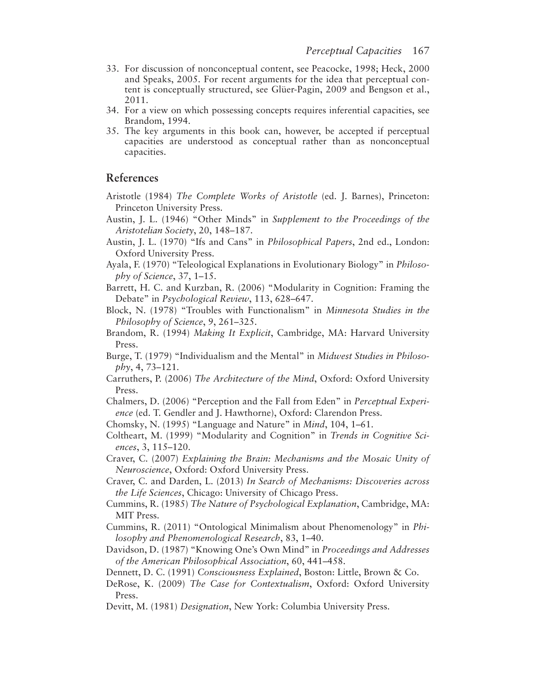- 33. For discussion of nonconceptual content, see Peacocke, 1998; Heck, 2000 and Speaks, 2005. For recent arguments for the idea that perceptual content is conceptually structured, see Glüer-Pagin, 2009 and Bengson et al., 2011.
- 34. For a view on which possessing concepts requires inferential capacities, see Brandom, 1994.
- 35. The key arguments in this book can, however, be accepted if perceptual capacities are understood as conceptual rather than as nonconceptual capacities.

## **References**

- Aristotle (1984) *The Complete Works of Aristotle* (ed. J. Barnes), Princeton: Princeton University Press.
- Austin, J. L. (1946) "Other Minds" in *Supplement to the Proceedings of the Aristotelian Society*, 20, 148–187.
- Austin, J. L. (1970) "Ifs and Cans" in *Philosophical Papers*, 2nd ed., London: Oxford University Press.
- Ayala, F. (1970) "Teleological Explanations in Evolutionary Biology" in *Philosophy of Science*, 37, 1–15.
- Barrett, H. C. and Kurzban, R. (2006) "Modularity in Cognition: Framing the Debate" in *Psychological Review*, 113, 628–647.
- Block, N. (1978) "Troubles with Functionalism" in *Minnesota Studies in the Philosophy of Science*, 9, 261–325.
- Brandom, R. (1994) *Making It Explicit*, Cambridge, MA: Harvard University Press.
- Burge, T. (1979) "Individualism and the Mental" in *Midwest Studies in Philosophy*, 4, 73–121.
- Carruthers, P. (2006) *The Architecture of the Mind*, Oxford: Oxford University Press.
- Chalmers, D. (2006) "Perception and the Fall from Eden" in *Perceptual Experience* (ed. T. Gendler and J. Hawthorne), Oxford: Clarendon Press.
- Chomsky, N. (1995) "Language and Nature" in *Mind*, 104, 1–61.
- Coltheart, M. (1999) "Modularity and Cognition" in *Trends in Cognitive Sciences*, 3, 115–120.
- Craver, C. (2007) *Explaining the Brain: Mechanisms and the Mosaic Unity of Neuroscience*, Oxford: Oxford University Press.
- Craver, C. and Darden, L. (2013) *In Search of Mechanisms: Discoveries across the Life Sciences*, Chicago: University of Chicago Press.
- Cummins, R. (1985) *The Nature of Psychological Explanation*, Cambridge, MA: MIT Press.
- Cummins, R. (2011) "Ontological Minimalism about Phenomenology" in *Philosophy and Phenomenological Research*, 83, 1–40.
- Davidson, D. (1987) "Knowing One's Own Mind" in *Proceedings and Addresses of the American Philosophical Association*, 60, 441–458.
- Dennett, D. C. (1991) *Consciousness Explained*, Boston: Little, Brown & Co.
- DeRose, K. (2009) *The Case for Contextualism*, Oxford: Oxford University Press.
- Devitt, M. (1981) *Designation*, New York: Columbia University Press.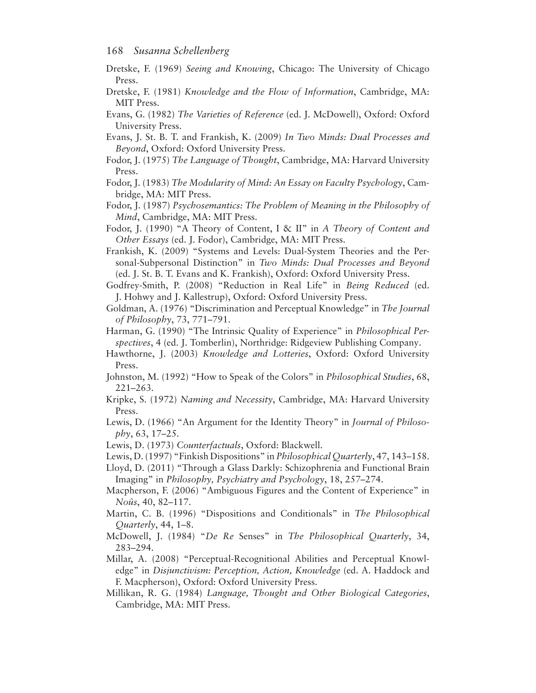- Dretske, F. (1969) *Seeing and Knowing*, Chicago: The University of Chicago Press.
- Dretske, F. (1981) *Knowledge and the Flow of Information*, Cambridge, MA: MIT Press.
- Evans, G. (1982) *The Varieties of Reference* (ed. J. McDowell), Oxford: Oxford University Press.
- Evans, J. St. B. T. and Frankish, K. (2009) *In Two Minds: Dual Processes and Beyond*, Oxford: Oxford University Press.
- Fodor, J. (1975) *The Language of Thought*, Cambridge, MA: Harvard University Press.
- Fodor, J. (1983) *The Modularity of Mind: An Essay on Faculty Psychology*, Cambridge, MA: MIT Press.

Fodor, J. (1987) *Psychosemantics: The Problem of Meaning in the Philosophy of Mind*, Cambridge, MA: MIT Press.

- Fodor, J. (1990) "A Theory of Content, I & II" in *A Theory of Content and Other Essays* (ed. J. Fodor), Cambridge, MA: MIT Press.
- Frankish, K. (2009) "Systems and Levels: Dual-System Theories and the Personal-Subpersonal Distinction" in *Two Minds: Dual Processes and Beyond* (ed. J. St. B. T. Evans and K. Frankish), Oxford: Oxford University Press.
- Godfrey-Smith, P. (2008) "Reduction in Real Life" in *Being Reduced* (ed. J. Hohwy and J. Kallestrup), Oxford: Oxford University Press.
- Goldman, A. (1976) "Discrimination and Perceptual Knowledge" in *The Journal of Philosophy*, 73, 771–791.
- Harman, G. (1990) "The Intrinsic Quality of Experience" in *Philosophical Perspectives*, 4 (ed. J. Tomberlin), Northridge: Ridgeview Publishing Company.
- Hawthorne, J. (2003) *Knowledge and Lotteries*, Oxford: Oxford University Press.
- Johnston, M. (1992) "How to Speak of the Colors" in *Philosophical Studies*, 68, 221–263.
- Kripke, S. (1972) *Naming and Necessity*, Cambridge, MA: Harvard University Press.
- Lewis, D. (1966) "An Argument for the Identity Theory" in *Journal of Philosophy*, 63, 17–25.
- Lewis, D. (1973) *Counterfactuals*, Oxford: Blackwell.
- Lewis, D. (1997) "Finkish Dispositions" in *Philosophical Quarterly*, 47, 143–158.
- Lloyd, D. (2011) "Through a Glass Darkly: Schizophrenia and Functional Brain Imaging" in *Philosophy, Psychiatry and Psychology*, 18, 257–274.
- Macpherson, F. (2006) "Ambiguous Figures and the Content of Experience" in *Noûs*, 40, 82–117.
- Martin, C. B. (1996) "Dispositions and Conditionals" in *The Philosophical Quarterly*, 44, 1–8.
- McDowell, J. (1984) "*De Re* Senses" in *The Philosophical Quarterly*, 34, 283–294.
- Millar, A. (2008) "Perceptual-Recognitional Abilities and Perceptual Knowledge" in *Disjunctivism: Perception, Action, Knowledge* (ed. A. Haddock and F. Macpherson), Oxford: Oxford University Press.
- Millikan, R. G. (1984) *Language, Thought and Other Biological Categories*, Cambridge, MA: MIT Press.